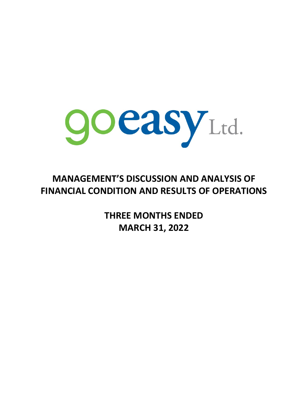

# **MANAGEMENT'S DISCUSSION AND ANALYSIS OF FINANCIAL CONDITION AND RESULTS OF OPERATIONS**

**THREE MONTHS ENDED MARCH 31, 2022**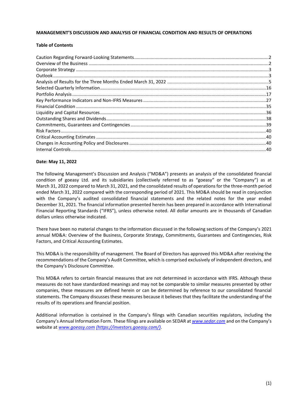## **MANAGEMENT'S DISCUSSION AND ANALYSIS OF FINANCIAL CONDITION AND RESULTS OF OPERATIONS**

## **Table of Contents**

# **Date: May 11, 2022**

The following Management's Discussion and Analysis ("MD&A") presents an analysis of the consolidated financial condition of goeasy Ltd. and its subsidiaries (collectively referred to as "goeasy" or the "Company") as at March 31, 2022 compared to March 31, 2021, and the consolidated results of operations for the three-month period ended March 31, 2022 compared with the corresponding period of 2021. This MD&A should be read in conjunction with the Company's audited consolidated financial statements and the related notes for the year ended December 31, 2021. The financial information presented herein has been prepared in accordance with International Financial Reporting Standards ("IFRS"), unless otherwise noted. All dollar amounts are in thousands of Canadian dollars unless otherwise indicated.

There have been no material changes to the information discussed in the following sections of the Company's 2021 annual MD&A: Overview of the Business, Corporate Strategy, Commitments, Guarantees and Contingencies, Risk Factors, and Critical Accounting Estimates.

This MD&A is the responsibility of management. The Board of Directors has approved this MD&A after receiving the recommendations of the Company's Audit Committee, which is comprised exclusively of independent directors, and the Company's Disclosure Committee.

This MD&A refers to certain financial measures that are not determined in accordance with IFRS. Although these measures do not have standardized meanings and may not be comparable to similar measures presented by other companies, these measures are defined herein or can be determined by reference to our consolidated financial statements. The Company discusses these measures because it believes that they facilitate the understanding of the results of its operations and financial position.

Additional information is contained in the Company's filings with Canadian securities regulators, including the Company's Annual Information Form. These filings are available on SEDAR at *[www.sedar.com](http://www.sedar.com/)* and on the Company's website at *[www.goeasy.com](http://www.goeasy.com/) [\(https://investors.goeasy.com/\)](https://investors.goeasy.com/)*.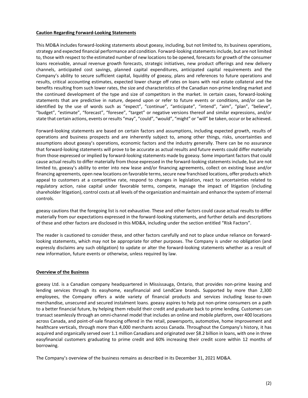#### <span id="page-2-0"></span>**Caution Regarding Forward-Looking Statements**

This MD&A includes forward-looking statements about goeasy, including, but not limited to, its business operations, strategy and expected financial performance and condition. Forward-looking statements include, but are not limited to, those with respect to the estimated number of new locations to be opened, forecasts for growth of the consumer loans receivable, annual revenue growth forecasts, strategic initiatives, new product offerings and new delivery channels, anticipated cost savings, planned capital expenditures, anticipated capital requirements and the Company's ability to secure sufficient capital, liquidity of goeasy, plans and references to future operations and results, critical accounting estimates, expected lower charge off rates on loans with real estate collateral and the benefits resulting from such lower rates, the size and characteristics of the Canadian non-prime lending market and the continued development of the type and size of competitors in the market. In certain cases, forward-looking statements that are predictive in nature, depend upon or refer to future events or conditions, and/or can be identified by the use of words such as "expect", "continue", "anticipate", "intend", "aim", "plan", "believe", "budget", "estimate", "forecast", "foresee", "target" or negative versions thereof and similar expressions, and/or state that certain actions, events or results "may", "could", "would", "might" or "will" be taken, occur or be achieved.

Forward-looking statements are based on certain factors and assumptions, including expected growth, results of operations and business prospects and are inherently subject to, among other things, risks, uncertainties and assumptions about goeasy's operations, economic factors and the industry generally. There can be no assurance that forward-looking statements will prove to be accurate as actual results and future events could differ materially from those expressed or implied by forward-looking statements made by goeasy. Some important factors that could cause actual results to differ materially from those expressed in the forward-looking statements include, but are not limited to, goeasy's ability to enter into new lease and/or financing agreements, collect on existing lease and/or financing agreements, open new locations on favorable terms, secure new franchised locations, offer products which appeal to customers at a competitive rate, respond to changes in legislation, react to uncertainties related to regulatory action, raise capital under favorable terms, compete, manage the impact of litigation (including shareholder litigation), control costs at all levels of the organization and maintain and enhance the system of internal controls.

goeasy cautions that the foregoing list is not exhaustive. These and other factors could cause actual results to differ materially from our expectations expressed in the forward-looking statements, and further details and descriptions of these and other factors are disclosed in this MD&A, including under the section entitled "Risk Factors".

The reader is cautioned to consider these, and other factors carefully and not to place undue reliance on forwardlooking statements, which may not be appropriate for other purposes. The Company is under no obligation (and expressly disclaims any such obligation) to update or alter the forward-looking statements whether as a result of new information, future events or otherwise, unless required by law.

# <span id="page-2-1"></span>**Overview of the Business**

goeasy Ltd. is a Canadian company headquartered in Mississauga, Ontario, that provides non-prime leasing and lending services through its easyhome, easyfinancial and LendCare brands. Supported by more than 2,300 employees, the Company offers a wide variety of financial products and services including lease-to-own merchandise, unsecured and secured instalment loans. goeasy aspires to help put non-prime consumers on a path to a better financial future, by helping them rebuild their credit and graduate back to prime lending. Customers can transact seamlessly through an omni-channel model that includes an online and mobile platform, over 400 locations across Canada, and point-of-sale financing offered in the retail, powersports, automotive, home improvement and healthcare verticals, through more than 4,000 merchants across Canada. Throughout the Company's history, it has acquired and organically served over 1.1 million Canadians and originated over \$8.2 billion in loans, with one in three easyfinancial customers graduating to prime credit and 60% increasing their credit score within 12 months of borrowing.

The Company's overview of the business remains as described in its December 31, 2021 MD&A.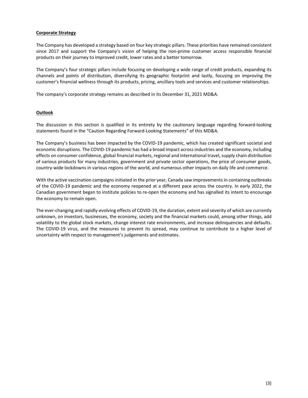## <span id="page-3-0"></span>**Corporate Strategy**

The Company has developed a strategy based on four key strategic pillars. These priorities have remained consistent since 2017 and support the Company's vision of helping the non-prime customer access responsible financial products on their journey to improved credit, lower rates and a better tomorrow.

The Company's four strategic pillars include focusing on developing a wide range of credit products, expanding its channels and points of distribution, diversifying its geographic footprint and lastly, focusing on improving the customer's financial wellness through its products, pricing, ancillary tools and services and customer relationships.

The company's corporate strategy remains as described in its December 31, 2021 MD&A.

## <span id="page-3-1"></span>**Outlook**

The discussion in this section is qualified in its entirety by the cautionary language regarding forward-looking statements found in the "Caution Regarding Forward-Looking Statements" of this MD&A.

The Company's business has been impacted by the COVID-19 pandemic, which has created significant societal and economic disruptions. The COVID-19 pandemic has had a broad impact across industries and the economy, including effects on consumer confidence, global financial markets, regional and international travel, supply chain distribution of various products for many industries, government and private sector operations, the price of consumer goods, country-wide lockdowns in various regions of the world, and numerous other impacts on daily life and commerce.

With the active vaccination campaigns initiated in the prior year, Canada saw improvements in containing outbreaks of the COVID-19 pandemic and the economy reopened at a different pace across the country. In early 2022, the Canadian government began to institute policies to re-open the economy and has signalled its intent to encourage the economy to remain open.

The ever-changing and rapidly-evolving effects of COVID-19, the duration, extent and severity of which are currently unknown, on investors, businesses, the economy, society and the financial markets could, among other things, add volatility to the global stock markets, change interest rate environments, and increase delinquencies and defaults. The COVID-19 virus, and the measures to prevent its spread, may continue to contribute to a higher level of uncertainty with respect to management's judgements and estimates.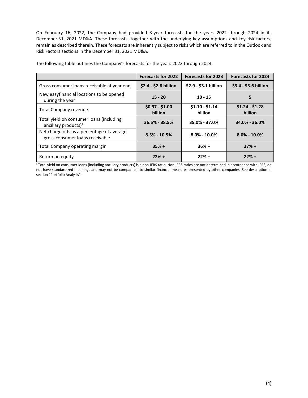On February 16, 2022, the Company had provided 3-year forecasts for the years 2022 through 2024 in its December 31, 2021 MD&A. These forecasts, together with the underlying key assumptions and key risk factors, remain as described therein. These forecasts are inherently subject to risks which are referred to in the Outlook and Risk Factors sections in the December 31, 2021 MD&A.

|                                                                               | <b>Forecasts for 2022</b>  | <b>Forecasts for 2023</b>  | <b>Forecasts for 2024</b>  |
|-------------------------------------------------------------------------------|----------------------------|----------------------------|----------------------------|
| Gross consumer loans receivable at year end                                   | $$2.4 - $2.6$ billion      | \$2.9 - \$3.1 billion      | \$3.4 - \$3.6 billion      |
| New easyfinancial locations to be opened<br>during the year                   | $15 - 20$                  | $10 - 15$                  | 5                          |
| Total Company revenue                                                         | $$0.97 - $1.00$<br>billion | $$1.10 - $1.14$<br>billion | $$1.24 - $1.28$<br>billion |
| Total yield on consumer loans (including<br>ancillary products) $1$           | $36.5\% - 38.5\%$          | 35.0% - 37.0%              | 34.0% - 36.0%              |
| Net charge offs as a percentage of average<br>gross consumer loans receivable | $8.5\% - 10.5\%$           | $8.0\% - 10.0\%$           | $8.0\% - 10.0\%$           |
| Total Company operating margin                                                | $35% +$                    | $36% +$                    | $37% +$                    |
| Return on equity                                                              | $22% +$                    | $22% +$                    | $22% +$                    |

The following table outlines the Company's forecasts for the years 2022 through 2024:

<sup>1</sup> Total yield on consumer loans (including ancillary products) is a non-IFRS ratio. Non-IFRS ratios are not determined in accordance with IFRS, do not have standardized meanings and may not be comparable to similar financial measures presented by other companies. See description in section "Portfolio Analysis".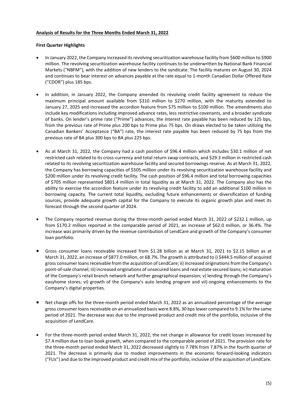## <span id="page-5-0"></span>**Analysis of Results for the Three Months Ended March 31, 2022**

## **First Quarter Highlights**

- In January 2022, the Company increased its revolving securitization warehouse facility from \$600 million to \$900 million. The revolving securitization warehouse facility continues to be underwritten by National Bank Financial Markets ("NBFM"), with the addition of new lenders to the syndicate. The facility matures on August 30, 2024 and continues to bear interest on advances payable at the rate equal to 1-month Canadian Dollar Offered Rate ("CDOR") plus 185 bps.
- In addition, in January 2022, the Company amended its revolving credit facility agreement to reduce the maximum principal amount available from \$310 million to \$270 million, with the maturity extended to January 27, 2025 and increased the accordion feature from \$75 million to \$100 million. The amendments also include key modifications including improved advance rates, less restrictive covenants, and a broader syndicate of banks. On lender's prime rate ("Prime") advances, the interest rate payable has been reduced by 125 bps, from the previous rate of Prime plus 200 bps to Prime plus 75 bps. On draws elected to be taken utilizing the Canadian Bankers' Acceptance ("BA") rate, the interest rate payable has been reduced by 75 bps from the previous rate of BA plus 300 bps to BA plus 225 bps.
- As at March 31, 2022, the Company had a cash position of \$96.4 million which includes \$30.1 million of net restricted cash related to its cross-currency and total return swap contracts, and \$29.3 million in restricted cash related to its revolving securitization warehouse facility and secured borrowings reserve. As at March 31, 2022, the Company has borrowing capacities of \$505 million under its revolving securitization warehouse facility and \$200 million under its revolving credit facility. The cash position of \$96.4 million and total borrowing capacities of \$705 million represented \$801.4 million in total liquidity as at March 31, 2022. The Company also has the ability to exercise the accordion feature under its revolving credit facility to add an additional \$100 million in borrowing capacity. The current total liquidity, excluding future enhancements or diversification of funding sources, provide adequate growth capital for the Company to execute its organic growth plan and meet its forecast through the second quarter of 2024.
- The Company reported revenue during the three-month period ended March 31, 2022 of \$232.1 million, up from \$170.2 million reported in the comparable period of 2021, an increase of \$62.0 million, or 36.4%. The increase was primarily driven by the revenue contribution of LendCare and growth of the Company's consumer loan portfolio.
- Gross consumer loans receivable increased from \$1.28 billion as at March 31, 2021 to \$2.15 billion as at March 31, 2022, an increase of \$877.0 million, or 68.7%. The growth is attributed to i) \$444.5 million of acquired gross consumer loans receivable from the acquisition of LendCare; ii) increased originations from the Company's point-of-sale channel; iii) increased originations of unsecured loans and real estate secured loans; iv) maturation of the Company's retail branch network and further geographical expansion; v) lending through the Company's easyhome stores; vi) growth of the Company's auto lending program and vii) ongoing enhancements to the Company's digital properties.
- Net charge offs for the three-month period ended March 31, 2022 as an annualized percentage of the average gross consumer loans receivable on an annualized basis were 8.8%, 30 bpslower compared to 9.1% for the same period of 2021. The decrease was due to the improved product and credit mix of the portfolio, inclusive of the acquisition of LendCare.
- For the three-month period ended March 31, 2022, the net change in allowance for credit losses increased by \$7.4 million due to loan book growth, when compared to the comparable period of 2021. The provision rate for the three-month period ended March 31, 2022 decreased slightly to 7.78% from 7.87% in the fourth quarter of 2021. The decrease is primarily due to modest improvements in the economic forward-looking indicators ("FLIs") and due to the improved product and credit mix of the portfolio, inclusive of the acquisition of LendCare.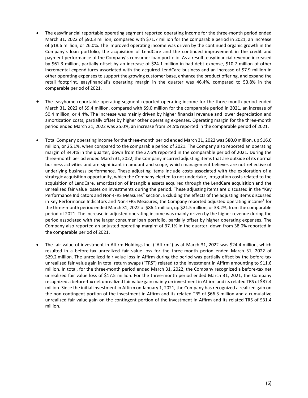- The easyfinancial reportable operating segment reported operating income for the three-month period ended March 31, 2022 of \$90.3 million, compared with \$71.7 million for the comparable period in 2021, an increase of \$18.6 million, or 26.0%. The improved operating income was driven by the continued organic growth in the Company's loan portfolio, the acquisition of LendCare and the continued improvement in the credit and payment performance of the Company's consumer loan portfolio. As a result, easyfinancial revenue increased by \$61.3 million, partially offset by an increase of \$24.1 million in bad debt expense, \$10.7 million of other incremental expenditures associated with the acquired LendCare business and an increase of \$7.9 million in other operating expenses to support the growing customer base, enhance the product offering, and expand the retail footprint. easyfinancial's operating margin in the quarter was 46.4%, compared to 53.8% in the comparable period of 2021.
- The easyhome reportable operating segment reported operating income for the three-month period ended March 31, 2022 of \$9.4 million, compared with \$9.0 million for the comparable period in 2021, an increase of \$0.4 million, or 4.4%. The increase was mainly driven by higher financial revenue and lower depreciation and amortization costs, partially offset by higher other operating expenses. Operating margin for the three-month period ended March 31, 2022 was 25.0%, an increase from 24.5% reported in the comparable period of 2021.
- Total Company operating income for the three-month period ended March 31, 2022 was \$80.0 million, up \$16.0 million, or 25.1%, when compared to the comparable period of 2021. The Company also reported an operating margin of 34.4% in the quarter, down from the 37.6% reported in the comparable period of 2021. During the three-month period ended March 31, 2022, the Company incurred adjusting items that are outside of its normal business activities and are significant in amount and scope, which management believes are not reflective of underlying business performance. These adjusting items include costs associated with the exploration of a strategic acquisition opportunity, which the Company elected to not undertake, integration costs related to the acquisition of LendCare, amortization of intangible assets acquired through the LendCare acquisition and the unrealized fair value losses on investments during the period. These adjusting items are discussed in the "Key Performance Indicators and Non-IFRS Measures" section. Excluding the effects of the adjusting items discussed in Key Performance Indicators and Non-IFRS Measures, the Company reported adjusted operating income<sup>1</sup> for the three-month period ended March 31, 2022 of \$86.1 million, up \$21.5 million, or 33.2%, from the comparable period of 2021. The increase in adjusted operating income was mainly driven by the higher revenue during the period associated with the larger consumer loan portfolio, partially offset by higher operating expenses. The Company also reported an adjusted operating margin<sup>1</sup> of 37.1% in the quarter, down from 38.0% reported in the comparable period of 2021.
- The fair value of investment in Affirm Holdings Inc. ("Affirm") as at March 31, 2022 was \$24.4 million, which resulted in a before-tax unrealized fair value loss for the three-month period ended March 31, 2022 of \$29.2 million. The unrealized fair value loss in Affirm during the period was partially offset by the before-tax unrealized fair value gain in total return swaps ("TRS") related to the investment in Affirm amounting to \$11.6 million. In total, for the three-month period ended March 31, 2022, the Company recognized a before-tax net unrealized fair value loss of \$17.5 million. For the three-month period ended March 31, 2021, the Company recognized a before-tax net unrealized fair value gain mainly on investment in Affirm and its related TRS of \$87.4 million. Since the initial investment in Affirm on January 1, 2021, the Company has recognized a realized gain on the non-contingent portion of the investment in Affirm and its related TRS of \$66.3 million and a cumulative unrealized fair value gain on the contingent portion of the investment in Affirm and its related TRS of \$31.4 million.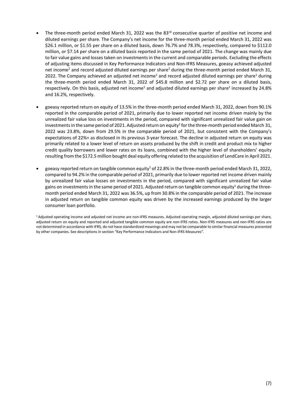- The three-month period ended March 31, 2022 was the 83<sup>rd</sup> consecutive quarter of positive net income and diluted earnings per share. The Company's net income for the three-month period ended March 31, 2022 was \$26.1 million, or \$1.55 per share on a diluted basis, down 76.7% and 78.3%, respectively, compared to \$112.0 million, or \$7.14 per share on a diluted basis reported in the same period of 2021. The change was mainly due to fair value gains and losses taken on investments in the current and comparable periods. Excluding the effects of adjusting items discussed in Key Performance Indicators and Non-IFRS Measures, goeasy achieved adjusted net income<sup>1</sup> and record adjusted diluted earnings per share<sup>1</sup> during the three-month period ended March 31, 2022. The Company achieved an adjusted net income<sup>1</sup> and record adjusted diluted earnings per share<sup>1</sup> during the three-month period ended March 31, 2022 of \$45.8 million and \$2.72 per share on a diluted basis, respectively. On this basis, adjusted net income<sup>1</sup> and adjusted diluted earnings per share<sup>1</sup> increased by 24.8% and 16.2%, respectively.
- goeasy reported return on equity of 13.5% in the three-month period ended March 31, 2022, down from 90.1% reported in the comparable period of 2021, primarily due to lower reported net income driven mainly by the unrealized fair value loss on investments in the period, compared with significant unrealized fair value gain on investments in the same period of 2021. Adjusted return on equity<sup>1</sup> for the three-month period ended March 31, 2022 was 23.8%, down from 29.5% in the comparable period of 2021, but consistent with the Company's expectations of 22%+ as disclosed in its previous 3-year forecast. The decline in adjusted return on equity was primarily related to a lower level of return on assets produced by the shift in credit and product mix to higher credit quality borrowers and lower rates on its loans, combined with the higher level of shareholders' equity resulting from the \$172.5 million bought deal equity offering related to the acquisition of LendCare in April 2021.
- goeasy reported return on tangible common equity<sup>1</sup> of 22.8% in the three-month period ended March 31, 2022, compared to 94.2% in the comparable period of 2021, primarily due to lower reported net income driven mainly by unrealized fair value losses on investments in the period, compared with significant unrealized fair value gains on investments in the same period of 2021. Adjusted return on tangible common equity<sup>1</sup> during the threemonth period ended March 31, 2022 was 36.5%, up from 30.8% in the comparable period of 2021. The increase in adjusted return on tangible common equity was driven by the increased earnings produced by the larger consumer loan portfolio.

1 Adjusted operating income and adjusted net income are non-IFRS measures. Adjusted operating margin, adjusted diluted earnings per share, adjusted return on equity and reported and adjusted tangible common equity are non-IFRS ratios. Non-IFRS measures and non-IFRS ratios are not determined in accordance with IFRS, do not have standardized meanings and may not be comparable to similar financial measures presented by other companies. See descriptions in section "Key Performance Indicators and Non-IFRS Measures".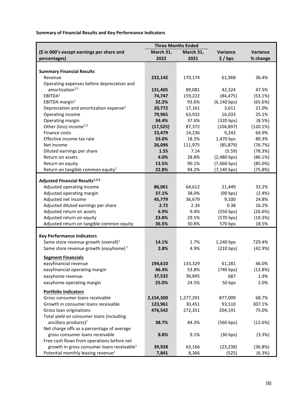**Summary of Financial Results and Key Performance Indicators**

|                                                                  |                 | <b>Three Months Ended</b> |                |                 |
|------------------------------------------------------------------|-----------------|---------------------------|----------------|-----------------|
| (\$ in 000's except earnings per share and                       | March 31,       | March 31,                 | Variance       | Variance        |
| percentages)                                                     | 2022            | 2021                      | \$/bps         | % change        |
|                                                                  |                 |                           |                |                 |
| <b>Summary Financial Results</b>                                 |                 |                           |                |                 |
| Revenue                                                          | 232,142         | 170,174                   | 61,968         | 36.4%           |
| Operating expenses before depreciation and                       |                 |                           |                |                 |
| amortization <sup>2,3</sup>                                      | 131,405         | 89,081                    | 42,324         | 47.5%           |
| EBITDA <sup>1</sup>                                              | 74,747          | 159,222                   | (84, 475)      | (53.1%)         |
| EBITDA margin $1$                                                | 32.2%           | 93.6%                     | $(6, 140$ bps) | (65.6%)         |
| Depreciation and amortization expense <sup>2</sup>               | 20,772          | 17,161                    | 3,611          | 21.0%           |
| Operating income                                                 | 79,965          | 63,932                    | 16,033         | 25.1%           |
| Operating margin                                                 | 34.4%           | 37.6%                     | (320 bps)      | (8.5%)          |
| Other (loss) income <sup>2,3</sup>                               | (17, 525)       | 87,372                    | (104, 897)     | (120.1%)        |
| Finance costs                                                    | 23,479          | 14,236                    | 9,243          | 64.9%           |
| Effective income tax rate                                        | 33.0%           | 18.3%                     | 1,470 bps      | 80.3%           |
| Net income                                                       | 26,096          | 111,975                   | (85, 879)      | (76.7%)         |
| Diluted earnings per share                                       | 1.55            | 7.14                      | (5.59)         | (78.3%)         |
| Return on assets                                                 | 4.0%            | 28.8%                     | $(2,480$ bps)  | (86.1%)         |
| Return on equity                                                 | 13.5%           | 90.1%                     | $(7,660$ bps)  | (85.0%)         |
| Return on tangible common equity <sup>1</sup>                    | 22.8%           | 94.2%                     | $(7, 140$ bps) | (75.8%)         |
|                                                                  |                 |                           |                |                 |
| <b>Adjusted Financial Results1,2,3</b>                           |                 |                           |                |                 |
| Adjusted operating income                                        | 86,061          | 64,612                    | 21,449         | 33.2%           |
| Adjusted operating margin                                        | 37.1%<br>45,779 | 38.0%<br>36,679           | (90 bps)       | (2.4%)<br>24.8% |
| Adjusted net income                                              | 2.72            | 2.34                      | 9,100<br>0.38  | 16.2%           |
| Adjusted diluted earnings per share<br>Adjusted return on assets | 6.9%            | 9.4%                      | (250 bps)      | (26.6%)         |
| Adjusted return on equity                                        | 23.8%           | 29.5%                     | (570 bps)      | (19.3%)         |
| Adjusted return on tangible common equity                        | 36.5%           | 30.8%                     | 570 bps        | 18.5%           |
|                                                                  |                 |                           |                |                 |
| <b>Key Performance Indicators</b>                                |                 |                           |                |                 |
| Same store revenue growth (overall) $1$                          | 14.1%           | 1.7%                      | 1,240 bps      | 729.4%          |
| Same store revenue growth (easyhome) $1$                         | 2.8%            | 4.9%                      | (210 bps)      | (42.9%)         |
|                                                                  |                 |                           |                |                 |
| <b>Segment Financials</b>                                        |                 |                           |                |                 |
| easyfinancial revenue                                            | 194,610         | 133,329                   | 61,281         | 46.0%           |
| easyfinancial operating margin                                   | 46.4%           | 53.8%                     | (740 bps)      | (13.8%)         |
| easyhome revenue                                                 | 37,532          | 36,845                    | 687            | 1.9%            |
| easyhome operating margin                                        | 25.0%           | 24.5%                     | 50 bps         | 2.0%            |
| <b>Portfolio Indicators</b>                                      |                 |                           |                |                 |
| Gross consumer loans receivable                                  | 2,154,300       | 1,277,291                 | 877,009        | 68.7%           |
| Growth in consumer loans receivable                              | 123,961         | 30,451                    | 93,510         | 307.1%          |
| Gross loan originations                                          | 476,542         | 272,351                   | 204,191        | 75.0%           |
| Total yield on consumer loans (including                         |                 |                           |                |                 |
| ancillary products) $1$                                          | 38.7%           | 44.3%                     | (560 bps)      | (12.6%)         |
| Net charge offs as a percentage of average                       |                 |                           |                |                 |
| gross consumer loans receivable                                  | 8.8%            | 9.1%                      | (30 bps)       | (3.3%)          |
| Free cash flows from operations before net                       |                 |                           |                |                 |
| growth in gross consumer loans receivable <sup>1</sup>           | 39,928          | 63,166                    | (23, 238)      | (36.8%)         |
| Potential monthly leasing revenue <sup>1</sup>                   | 7,841           | 8,366                     | (525)          | (6.3%)          |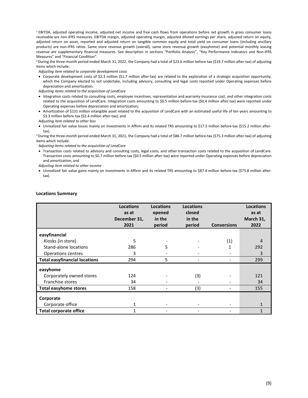<sup>1</sup> EBITDA, adjusted operating income, adjusted net income and free cash flows from operations before net growth in gross consumer loans receivable are non-IFRS measures. EBITDA margin, adjusted operating margin, adjusted diluted earnings per share, adjusted return on equity, adjusted return on asset, reported and adjusted return on tangible common equity and total yield on consumer loans (including ancillary products) are non-IFRS ratios. Same store revenue growth (overall), same store revenue growth (easyhome) and potential monthly leasing revenue are supplementary financial measures. See description in sections "Portfolio Analysis", "Key Performance Indicators and Non-IFRS Measures" and "Financial Condition".

<sup>2</sup> During the three-month period ended March 31, 2022, the Company had a total of \$23.6 million before-tax (\$19.7 million after-tax) of adjusting items which include:

*Adjusting item related to corporate development costs*

• Corporate development costs of \$2.3 million (\$1.7 million after-tax) are related to the exploration of a strategic acquisition opportunity, which the Company elected to not undertake, including advisory, consulting and legal costs reported under Operating expenses before depreciation and amortization.

*Adjusting items related to the acquisition of LendCare* 

- Integration costs related to consulting costs, employee incentives, representation and warranty insurance cost, and other integration costs related to the acquisition of LendCare. Integration costs amounting to \$0.5 million before-tax (\$0.4 million after-tax) were reported under Operating expenses before depreciation and amortization;
- Amortization of \$131 million intangible asset related to the acquisition of LendCare with an estimated useful life of ten years amounting to \$3.3 million before-tax (\$2.4 million after-tax); and

*Adjusting item related to other loss*

• Unrealized fair value losses mainly on investments in Affirm and its related TRS amounting to \$17.5 million before-tax (\$15.2 million after-

tax). 3 During the three-month period ended March 31, 2021, the Company had a total of \$86.7 million before-tax (\$75.3 million after-tax) of adjusting items which include:

*Adjusting items related to the acquisition of LendCare* 

• Transaction costs related to advisory and consulting costs, legal costs, and other transaction costs related to the acquisition of LendCare. Transaction costs amounting to \$0.7 million before-tax (\$0.5 million after-tax) were reported under Operating expenses before depreciation and amortization; and

*Adjusting item related to other income*

• Unrealized fair value gains mainly on investments in Affirm and its related TRS amounting to \$87.4 million before-tax (\$75.8 million aftertax).

|                                      | <b>Locations</b><br>as at<br>December 31,<br>2021 | <b>Locations</b><br>opened<br>in the<br>period | <b>Locations</b><br>closed<br>in the<br>period | <b>Conversions</b> | <b>Locations</b><br>as at<br>March 31,<br>2022 |
|--------------------------------------|---------------------------------------------------|------------------------------------------------|------------------------------------------------|--------------------|------------------------------------------------|
| easyfinancial                        |                                                   |                                                |                                                |                    |                                                |
| Kiosks (in store)                    | 5                                                 |                                                |                                                | (1)                | 4                                              |
| Stand-alone locations                | 286                                               | 5                                              |                                                | 1                  | 292                                            |
| Operations centres                   | 3                                                 |                                                |                                                |                    | 3                                              |
| <b>Total easyfinancial locations</b> | 294                                               | 5                                              |                                                |                    | 299                                            |
| easyhome                             |                                                   |                                                |                                                |                    |                                                |
| Corporately owned stores             | 124                                               |                                                | (3)                                            |                    | 121                                            |
| Franchise stores                     | 34                                                |                                                |                                                |                    | 34                                             |
| <b>Total easyhome stores</b>         | 158                                               |                                                | (3)                                            |                    | 155                                            |
| Corporate                            |                                                   |                                                |                                                |                    |                                                |
| Corporate office                     | 1                                                 |                                                |                                                |                    | 1                                              |
| <b>Total corporate office</b>        |                                                   |                                                |                                                |                    | 1                                              |

#### **Locations Summary**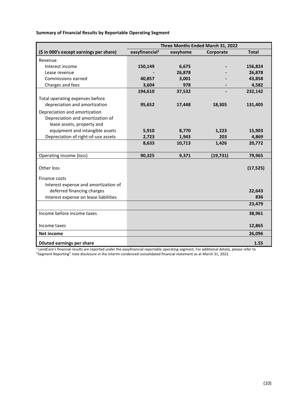**Summary of Financial Results by Reportable Operating Segment**

|                                         | Three Months Ended March 31, 2022 |          |           |              |  |
|-----------------------------------------|-----------------------------------|----------|-----------|--------------|--|
| (\$ in 000's except earnings per share) | easyfinancial <sup>1</sup>        | easyhome | Corporate | <b>Total</b> |  |
| Revenue                                 |                                   |          |           |              |  |
| Interest income                         | 150,149                           | 6,675    |           | 156,824      |  |
| Lease revenue                           |                                   | 26,878   |           | 26,878       |  |
| Commissions earned                      | 40,857                            | 3,001    |           | 43,858       |  |
| Charges and fees                        | 3,604                             | 978      |           | 4,582        |  |
|                                         | 194,610                           | 37,532   |           | 232,142      |  |
| Total operating expenses before         |                                   |          |           |              |  |
| depreciation and amortization           | 95,652                            | 17,448   | 18,305    | 131,405      |  |
| Depreciation and amortization           |                                   |          |           |              |  |
| Depreciation and amortization of        |                                   |          |           |              |  |
| lease assets, property and              |                                   |          |           |              |  |
| equipment and intangible assets         | 5,910                             | 8,770    | 1,223     | 15,903       |  |
| Depreciation of right-of-use assets     | 2,723                             | 1,943    | 203       | 4,869        |  |
|                                         | 8,633                             | 10,713   | 1,426     | 20,772       |  |
|                                         |                                   |          |           |              |  |
| Operating income (loss)                 | 90,325                            | 9,371    | (19, 731) | 79,965       |  |
|                                         |                                   |          |           |              |  |
| Other loss                              |                                   |          |           | (17, 525)    |  |
| Finance costs                           |                                   |          |           |              |  |
| Interest expense and amortization of    |                                   |          |           |              |  |
| deferred financing charges              |                                   |          |           | 22,643       |  |
| Interest expense on lease liabilities   |                                   |          |           | 836          |  |
|                                         |                                   |          |           | 23,479       |  |
| Income before income taxes              |                                   |          |           | 38,961       |  |
|                                         |                                   |          |           |              |  |
| Income taxes                            |                                   |          |           | 12,865       |  |
| <b>Net income</b>                       |                                   |          |           | 26,096       |  |
| <b>Diluted earnings per share</b>       |                                   |          |           | 1.55         |  |

<sup>1</sup> LendCare's financial results are reported under the easyfinancial reportable operating segment. For additional details, please refer to "Segment Reporting" note disclosure in the interim condensed consolidated financial statement as at March 31, 2022.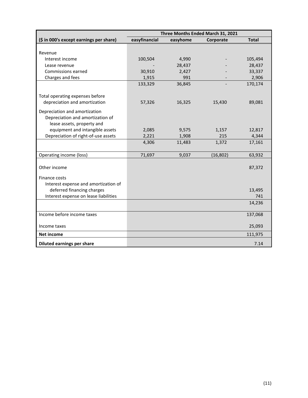|                                                                     | Three Months Ended March 31, 2021 |          |           |               |  |
|---------------------------------------------------------------------|-----------------------------------|----------|-----------|---------------|--|
| (\$ in 000's except earnings per share)                             | easyfinancial                     | easyhome | Corporate | <b>Total</b>  |  |
|                                                                     |                                   |          |           |               |  |
| Revenue                                                             |                                   |          |           |               |  |
| Interest income                                                     | 100,504                           | 4,990    |           | 105,494       |  |
| Lease revenue                                                       |                                   | 28,437   |           | 28,437        |  |
| Commissions earned                                                  | 30,910                            | 2,427    |           | 33,337        |  |
| Charges and fees                                                    | 1,915                             | 991      |           | 2,906         |  |
|                                                                     | 133,329                           | 36,845   |           | 170,174       |  |
|                                                                     |                                   |          |           |               |  |
| Total operating expenses before                                     |                                   |          |           |               |  |
| depreciation and amortization                                       | 57,326                            | 16,325   | 15,430    | 89,081        |  |
| Depreciation and amortization                                       |                                   |          |           |               |  |
| Depreciation and amortization of                                    |                                   |          |           |               |  |
| lease assets, property and                                          |                                   |          |           |               |  |
| equipment and intangible assets                                     | 2,085                             | 9,575    | 1,157     | 12,817        |  |
| Depreciation of right-of-use assets                                 | 2,221                             | 1,908    | 215       | 4,344         |  |
|                                                                     | 4,306                             | 11,483   | 1,372     | 17,161        |  |
|                                                                     |                                   |          |           |               |  |
| Operating income (loss)                                             | 71,697                            | 9,037    | (16, 802) | 63,932        |  |
|                                                                     |                                   |          |           |               |  |
| Other income                                                        |                                   |          |           | 87,372        |  |
|                                                                     |                                   |          |           |               |  |
| Finance costs                                                       |                                   |          |           |               |  |
| Interest expense and amortization of                                |                                   |          |           |               |  |
| deferred financing charges<br>Interest expense on lease liabilities |                                   |          |           | 13,495<br>741 |  |
|                                                                     |                                   |          |           |               |  |
|                                                                     |                                   |          |           | 14,236        |  |
| Income before income taxes                                          |                                   |          |           | 137,068       |  |
|                                                                     |                                   |          |           |               |  |
| Income taxes                                                        |                                   |          |           | 25,093        |  |
| <b>Net income</b>                                                   |                                   |          |           | 111,975       |  |
| <b>Diluted earnings per share</b>                                   |                                   |          |           | 7.14          |  |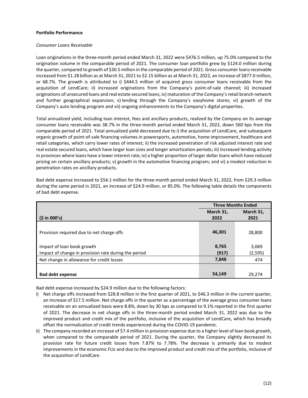#### **Portfolio Performance**

#### *Consumer Loans Receivable*

Loan originations in the three-month period ended March 31, 2022 were \$476.5 million, up 75.0% compared to the origination volume in the comparable period of 2021. The consumer loan portfolio grew by \$124.0 million during the quarter, compared to growth of \$30.5 million in the comparable period of 2021. Gross consumer loans receivable increased from \$1.28 billion as at March 31, 2021 to \$2.15 billion as at March 31, 2022, an increase of \$877.0 million, or 68.7%. The growth is attributed to i) \$444.5 million of acquired gross consumer loans receivable from the acquisition of LendCare; ii) increased originations from the Company's point-of-sale channel; iii) increased originations of unsecured loans and real estate secured loans; iv) maturation of the Company's retail branch network and further geographical expansion; v) lending through the Company's easyhome stores; vi) growth of the Company's auto lending program and vii) ongoing enhancements to the Company's digital properties.

Total annualized yield, including loan interest, fees and ancillary products, realized by the Company on its average consumer loans receivable was 38.7% in the three-month period ended March 31, 2022, down 560 bps from the comparable period of 2021. Total annualized yield decreased due to i) the acquisition of LendCare, and subsequent organic growth of point-of-sale financing volumes in powersports, automotive, home improvement, healthcare and retail categories, which carry lower rates of interest; ii) the increased penetration of risk adjusted interest rate and real estate secured loans, which have larger loan sizes and longer amortization periods; iii) increased lending activity in provinces where loans have a lower interest rate; iv) a higher proportion of larger dollar loans which have reduced pricing on certain ancillary products; v) growth in the automotive financing program; and vi) a modest reduction in penetration rates on ancillary products.

|                                                      | <b>Three Months Ended</b> |           |  |
|------------------------------------------------------|---------------------------|-----------|--|
|                                                      | March 31,                 | March 31, |  |
| (5 in 000's)                                         | 2022                      | 2021      |  |
|                                                      |                           |           |  |
| Provision required due to net charge offs            | 46,301                    | 28,800    |  |
|                                                      |                           |           |  |
| Impact of loan book growth                           | 8,765                     | 3,069     |  |
| Impact of change in provision rate during the period | (917)                     | (2, 595)  |  |
| Net change in allowance for credit losses            | 7,848                     | 474       |  |
|                                                      |                           |           |  |
| <b>Bad debt expense</b>                              | 54,149                    | 29,274    |  |

Bad debt expense increased to \$54.1 million for the three-month period ended March 31, 2022, from \$29.3 million during the same period in 2021, an increase of \$24.9 million, or 85.0%. The following table details the components of bad debt expense.

Bad debt expense increased by \$24.9 million due to the following factors:

- i) Net charge offs increased from \$28.8 million in the first quarter of 2021, to \$46.3 million in the current quarter, an increase of \$17.5 million. Net charge offs in the quarter as a percentage of the average gross consumer loans receivable on an annualized basis were 8.8%, down by 30 bps as compared to 9.1% reported in the first quarter of 2021. The decrease in net charge offs in the three-month period ended March 31, 2022 was due to the improved product and credit mix of the portfolio, inclusive of the acquisition of LendCare, which has broadly offset the normalization of credit trends experienced during the COVID-19 pandemic.
- ii) The company recorded an increase of \$7.4 million in provision expense due to a higher level of loan book growth, when compared to the comparable period of 2021. During the quarter, the Company slightly decreased its provision rate for future credit losses from 7.87% to 7.78%. The decrease is primarily due to modest improvements in the economic FLIs and due to the improved product and credit mix of the portfolio, inclusive of the acquisition of LendCare.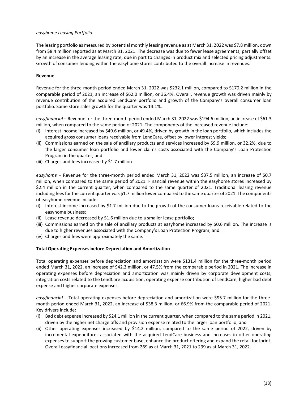## *easyhome Leasing Portfolio*

The leasing portfolio as measured by potential monthly leasing revenue as at March 31, 2022 was \$7.8 million, down from \$8.4 million reported as at March 31, 2021. The decrease was due to fewer lease agreements, partially offset by an increase in the average leasing rate, due in part to changes in product mix and selected pricing adjustments. Growth of consumer lending within the easyhome stores contributed to the overall increase in revenues.

#### **Revenue**

Revenue for the three-month period ended March 31, 2022 was \$232.1 million, compared to \$170.2 million in the comparable period of 2021, an increase of \$62.0 million, or 36.4%. Overall, revenue growth was driven mainly by revenue contribution of the acquired LendCare portfolio and growth of the Company's overall consumer loan portfolio. Same store sales growth for the quarter was 14.1%.

e*asyfinancial* – Revenue for the three-month period ended March 31, 2022 was \$194.6 million, an increase of \$61.3 million, when compared to the same period of 2021. The components of the increased revenue include:

- (i) Interest income increased by \$49.6 million, or 49.4%, driven by growth in the loan portfolio, which includes the acquired gross consumer loans receivable from LendCare, offset by lower interest yields;
- (ii) Commissions earned on the sale of ancillary products and services increased by \$9.9 million, or 32.2%, due to the larger consumer loan portfolio and lower claims costs associated with the Company's Loan Protection Program in the quarter; and
- (iii) Charges and fees increased by \$1.7 million.

*easyhome* – Revenue for the three-month period ended March 31, 2022 was \$37.5 million, an increase of \$0.7 million, when compared to the same period of 2021. Financial revenue within the easyhome stores increased by \$2.4 million in the current quarter, when compared to the same quarter of 2021. Traditional leasing revenue including feesfor the current quarter was \$1.7 million lower compared to the same quarter of 2021. The components of easyhome revenue include:

- (i) Interest income increased by \$1.7 million due to the growth of the consumer loans receivable related to the easyhome business;
- (ii) Lease revenue decreased by \$1.6 million due to a smaller lease portfolio;
- (iii) Commissions earned on the sale of ancillary products at easyhome increased by \$0.6 million. The increase is due to higher revenues associated with the Company's Loan Protection Program; and
- (iv) Charges and fees were approximately the same.

# **Total Operating Expenses before Depreciation and Amortization**

Total operating expenses before depreciation and amortization were \$131.4 million for the three-month period ended March 31, 2022, an increase of \$42.3 million, or 47.5% from the comparable period in 2021. The increase in operating expenses before depreciation and amortization was mainly driven by corporate development costs, integration costs related to the LendCare acquisition, operating expense contribution of LendCare, higher bad debt expense and higher corporate expenses.

*easyfinancial* – Total operating expenses before depreciation and amortization were \$95.7 million for the threemonth period ended March 31, 2022, an increase of \$38.3 million, or 66.9% from the comparable period of 2021. Key drivers include:

- (i) Bad debt expense increased by \$24.1 million in the current quarter, when compared to the same period in 2021, driven by the higher net charge offs and provision expense related to the larger loan portfolio; and
- (ii) Other operating expenses increased by \$14.2 million, compared to the same period of 2022, driven by incremental expenditures associated with the acquired LendCare business and increases in other operating expenses to support the growing customer base, enhance the product offering and expand the retail footprint. Overall easyfinancial locations increased from 269 as at March 31, 2021 to 299 as at March 31, 2022.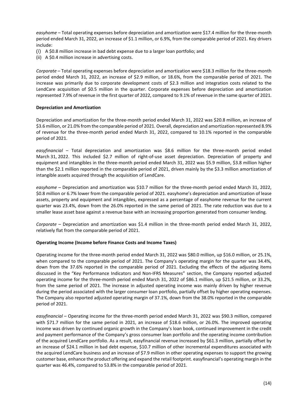*easyhome* – Total operating expenses before depreciation and amortization were \$17.4 million for the three-month period ended March 31, 2022, an increase of \$1.1 million, or 6.9%, from the comparable period of 2021. Key drivers include:

- (i) A \$0.8 million increase in bad debt expense due to a larger loan portfolio; and
- (ii) A \$0.4 million increase in advertising costs.

*Corporate* – Total operating expenses before depreciation and amortization were \$18.3 million for the three-month period ended March 31, 2022, an increase of \$2.9 million, or 18.6%, from the comparable period of 2021. The increase was primarily due to corporate development costs of \$2.3 million and integration costs related to the LendCare acquisition of \$0.5 million in the quarter. Corporate expenses before depreciation and amortization represented 7.9% of revenue in the first quarter of 2022, compared to 9.1% of revenue in the same quarter of 2021.

# **Depreciation and Amortization**

Depreciation and amortization for the three-month period ended March 31, 2022 was \$20.8 million, an increase of \$3.6 million, or 21.0% from the comparable period of 2021. Overall, depreciation and amortization represented 8.9% of revenue for the three-month period ended March 31, 2022, compared to 10.1% reported in the comparable period of 2021.

*easyfinancial* – Total depreciation and amortization was \$8.6 million for the three-month period ended March 31, 2022. This included \$2.7 million of right-of-use asset depreciation. Depreciation of property and equipment and intangibles in the three-month period ended March 31, 2022 was \$5.9 million, \$3.8 million higher than the \$2.1 million reported in the comparable period of 2021, driven mainly by the \$3.3 million amortization of intangible assets acquired through the acquisition of LendCare.

*easyhome* – Depreciation and amortization was \$10.7 million for the three-month period ended March 31, 2022, \$0.8 million or 6.7% lower from the comparable period of 2021. easyhome's depreciation and amortization of lease assets, property and equipment and intangibles, expressed as a percentage of easyhome revenue for the current quarter was 23.4%, down from the 26.0% reported in the same period of 2021. The rate reduction was due to a smaller lease asset base against a revenue base with an increasing proportion generated from consumer lending.

*Corporate* – Depreciation and amortization was \$1.4 million in the three-month period ended March 31, 2022, relatively flat from the comparable period of 2021.

# **Operating Income (Income before Finance Costs and Income Taxes)**

Operating income for the three-month period ended March 31, 2022 was \$80.0 million, up \$16.0 million, or 25.1%, when compared to the comparable period of 2021. The Company's operating margin for the quarter was 34.4%, down from the 37.6% reported in the comparable period of 2021. Excluding the effects of the adjusting items discussed in the "Key Performance Indicators and Non-IFRS Measures" section, the Company reported adjusted operating income for the three-month period ended March 31, 2022 of \$86.1 million, up \$21.5 million, or 33.2%, from the same period of 2021. The increase in adjusted operating income was mainly driven by higher revenue during the period associated with the larger consumer loan portfolio, partially offset by higher operating expenses. The Company also reported adjusted operating margin of 37.1%, down from the 38.0% reported in the comparable period of 2021.

*easyfinancial* – Operating income for the three-month period ended March 31, 2022 was \$90.3 million, compared with \$71.7 million for the same period in 2021, an increase of \$18.6 million, or 26.0%. The improved operating income was driven by continued organic growth in the Company's loan book, continued improvement in the credit and payment performance of the Company's gross consumer loan portfolio and the operating income contribution of the acquired LendCare portfolio. As a result, easyfinancial revenue increased by \$61.3 million, partially offset by an increase of \$24.1 million in bad debt expense, \$10.7 million of other incremental expenditures associated with the acquired LendCare business and an increase of \$7.9 million in other operating expenses to support the growing customer base, enhance the product offering and expand the retail footprint. easyfinancial's operating margin in the quarter was 46.4%, compared to 53.8% in the comparable period of 2021.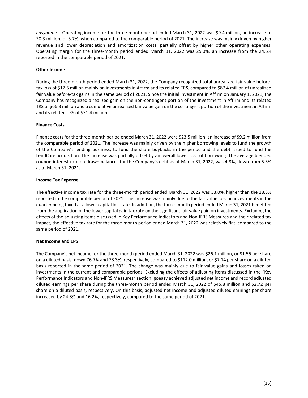*easyhome* – Operating income for the three-month period ended March 31, 2022 was \$9.4 million, an increase of \$0.3 million, or 3.7%, when compared to the comparable period of 2021. The increase was mainly driven by higher revenue and lower depreciation and amortization costs, partially offset by higher other operating expenses. Operating margin for the three-month period ended March 31, 2022 was 25.0%, an increase from the 24.5% reported in the comparable period of 2021.

## **Other Income**

During the three-month period ended March 31, 2022, the Company recognized total unrealized fair value beforetax loss of \$17.5 million mainly on investments in Affirm and its related TRS, compared to \$87.4 million of unrealized fair value before-tax gains in the same period of 2021. Since the initial investment in Affirm on January 1, 2021, the Company has recognized a realized gain on the non-contingent portion of the investment in Affirm and its related TRS of \$66.3 million and a cumulative unrealized fair value gain on the contingent portion of the investment in Affirm and its related TRS of \$31.4 million.

## **Finance Costs**

Finance costs for the three-month period ended March 31, 2022 were \$23.5 million, an increase of \$9.2 million from the comparable period of 2021. The increase was mainly driven by the higher borrowing levels to fund the growth of the Company's lending business, to fund the share buybacks in the period and the debt issued to fund the LendCare acquisition. The increase was partially offset by an overall lower cost of borrowing. The average blended coupon interest rate on drawn balances for the Company's debt as at March 31, 2022, was 4.8%, down from 5.3% as at March 31, 2021.

## **Income Tax Expense**

The effective income tax rate for the three-month period ended March 31, 2022 was 33.0%, higher than the 18.3% reported in the comparable period of 2021. The increase was mainly due to the fair value loss on investments in the quarter being taxed at a lower capital loss rate. In addition, the three-month period ended March 31, 2021 benefited from the application of the lower capital gain tax rate on the significant fair value gain on investments. Excluding the effects of the adjusting items discussed in Key Performance Indicators and Non-IFRS Measures and their related tax impact, the effective tax rate for the three-month period ended March 31, 2022 was relatively flat, compared to the same period of 2021.

# **Net Income and EPS**

The Company's net income for the three-month period ended March 31, 2022 was \$26.1 million, or \$1.55 per share on a diluted basis, down 76.7% and 78.3%, respectively, compared to \$112.0 million, or \$7.14 per share on a diluted basis reported in the same period of 2021. The change was mainly due to fair value gains and losses taken on investments in the current and comparable periods. Excluding the effects of adjusting items discussed in the "Key Performance Indicators and Non-IFRS Measures" section, goeasy achieved adjusted net income and record adjusted diluted earnings per share during the three-month period ended March 31, 2022 of \$45.8 million and \$2.72 per share on a diluted basis, respectively. On this basis, adjusted net income and adjusted diluted earnings per share increased by 24.8% and 16.2%, respectively, compared to the same period of 2021.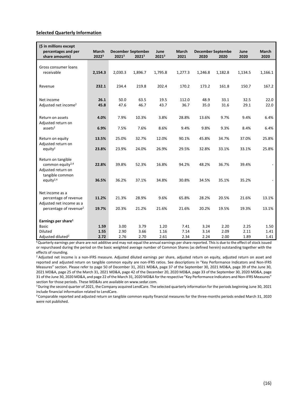#### <span id="page-16-0"></span>**Selected Quarterly Information**

| (\$ in millions except<br>percentages and per<br>share amounts)          | March<br>20223 | 20213        | <b>December September</b><br>20213 | June<br>20213 | <b>March</b><br>2021 | 2020         | <b>December Septembe</b><br>2020 | June<br>2020 | <b>March</b><br>2020 |
|--------------------------------------------------------------------------|----------------|--------------|------------------------------------|---------------|----------------------|--------------|----------------------------------|--------------|----------------------|
| Gross consumer loans<br>receivable                                       | 2,154.3        | 2,030.3      | 1,896.7                            | 1,795.8       | 1,277.3              | 1,246.8      | 1,182.8                          | 1,134.5      | 1,166.1              |
| Revenue                                                                  | 232.1          | 234.4        | 219.8                              | 202.4         | 170.2                | 173.2        | 161.8                            | 150.7        | 167.2                |
| Net income<br>Adjusted net income <sup>2</sup>                           | 26.1<br>45.8   | 50.0<br>47.6 | 63.5<br>46.7                       | 19.5<br>43.7  | 112.0<br>36.7        | 48.9<br>35.0 | 33.1<br>31.6                     | 32.5<br>29.1 | 22.0<br>22.0         |
| Return on assets                                                         | 4.0%           | 7.9%         | 10.3%                              | 3.8%          | 28.8%                | 13.6%        | 9.7%                             | 9.4%         | 6.4%                 |
| Adjusted return on<br>$ases$ <sup>2</sup>                                | 6.9%           | 7.5%         | 7.6%                               | 8.6%          | 9.4%                 | 9.8%         | 9.3%                             | 8.4%         | 6.4%                 |
| Return on equity<br>Adjusted return on                                   | 13.5%          | 25.0%        | 32.7%                              | 12.0%         | 90.1%                | 45.8%        | 34.7%                            | 37.0%        | 25.8%                |
| equity <sup>2</sup>                                                      | 23.8%          | 23.9%        | 24.0%                              | 26.9%         | 29.5%                | 32.8%        | 33.1%                            | 33.1%        | 25.8%                |
| Return on tangible<br>common equity <sup>2,4</sup><br>Adjusted return on | 22.8%          | 39.8%        | 52.3%                              | 16.8%         | 94.2%                | 48.2%        | 36.7%                            | 39.4%        |                      |
| tangible common<br>equity $2,4$                                          | 36.5%          | 36.2%        | 37.1%                              | 34.8%         | 30.8%                | 34.5%        | 35.1%                            | 35.2%        |                      |
| Net income as a                                                          |                |              |                                    |               |                      |              |                                  |              |                      |
| percentage of revenue<br>Adjusted net income as a                        | 11.2%          | 21.3%        | 28.9%                              | 9.6%          | 65.8%                | 28.2%        | 20.5%                            | 21.6%        | 13.1%                |
| percentage of revenue <sup>2</sup>                                       | 19.7%          | 20.3%        | 21.2%                              | 21.6%         | 21.6%                | 20.2%        | 19.5%                            | 19.3%        | 13.1%                |
| Earnings per share <sup>1</sup>                                          |                |              |                                    |               |                      |              |                                  |              |                      |
| <b>Basic</b>                                                             | 1.59           | 3.00         | 3.79                               | 1.20          | 7.41                 | 3.24         | 2.20                             | 2.25         | 1.50                 |
| <b>Diluted</b>                                                           | 1.55           | 2.90         | 3.66                               | 1.16          | 7.14                 | 3.14         | 2.09                             | 2.11         | 1.41                 |
| Adjusted diluted <sup>2</sup>                                            | 2.72           | 2.76         | 2.70                               | 2.61          | 2.34                 | 2.24         | 2.00                             | 1.89         | 1.41                 |

**<sup>1</sup>**Quarterly earnings per share are not additive and may not equal the annual earnings per share reported. This is due to the effect of stock issued or repurchased during the period on the basic weighted average number of Common Shares (as defined herein) outstanding together with the effects of rounding.

<sup>2</sup> Adjusted net income is a non-IFRS measure. Adjusted diluted earnings per share, adjusted return on equity, adjusted return on asset and reported and adjusted return on tangible common equity are non-IFRS ratios. See descriptions in "Key Performance Indicators and Non-IFRS Measures" section. Please refer to page 50 of December 31, 2021 MD&A, page 37 of the September 30, 2021 MD&A, page 39 of the June 30, 2021 MD&A, page 25 of the March 31, 2021 MD&A, page 42 of the December 20, 2020 MD&A, page 33 of the September 30, 2020 MD&A, page 31 of the June 30, 2020 MD&A, and page 22 of the March 31, 2020 MD&A for the respective "Key Performance Indicators and Non-IFRS Measures" section for those periods. These MD&As are available on www.sedar.com.<br><sup>3</sup> During the second quarter of 2021, the Company acquired LendCare. The selected quarterly information for the periods beginning June 30, 2021

include financial information related to LendCare.

4 Comparable reported and adjusted return on tangible common equity financial measures for the three-months periods ended March 31, 2020 were not published.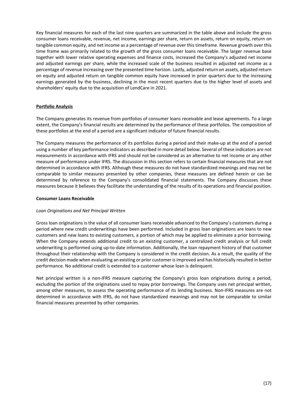Key financial measures for each of the last nine quarters are summarized in the table above and include the gross consumer loans receivable, revenue, net income, earnings per share, return on assets, return on equity, return on tangible common equity, and net income as a percentage of revenue over this timeframe. Revenue growth over this time frame was primarily related to the growth of the gross consumer loans receivable. The larger revenue base together with lower relative operating expenses and finance costs, increased the Company's adjusted net income and adjusted earnings per share, while the increased scale of the business resulted in adjusted net income as a percentage of revenue increasing over the presented time horizon. Lastly, adjusted return on assets, adjusted return on equity and adjusted return on tangible common equity have increased in prior quarters due to the increasing earnings generated by the business, declining in the most recent quarters due to the higher level of assets and shareholders' equity due to the acquisition of LendCare in 2021.

# <span id="page-17-0"></span>**Portfolio Analysis**

The Company generates its revenue from portfolios of consumer loans receivable and lease agreements. To a large extent, the Company's financial results are determined by the performance of these portfolios. The composition of these portfolios at the end of a period are a significant indicator of future financial results.

The Company measures the performance of its portfolios during a period and their make-up at the end of a period using a number of key performance indicators as described in more detail below. Several of these indicators are not measurements in accordance with IFRS and should not be considered as an alternative to net income or any other measure of performance under IFRS. The discussion in this section refers to certain financial measures that are not determined in accordance with IFRS. Although these measures do not have standardized meanings and may not be comparable to similar measures presented by other companies, these measures are defined herein or can be determined by reference to the Company's consolidated financial statements. The Company discusses these measures because it believes they facilitate the understanding of the results of its operations and financial position.

## **Consumer Loans Receivable**

# *Loan Originations and Net Principal Written*

Gross loan originations is the value of all consumer loans receivable advanced to the Company's customers during a period where new credit underwritings have been performed. Included in gross loan originations are loans to new customers and new loans to existing customers, a portion of which may be applied to eliminate a prior borrowing. When the Company extends additional credit to an existing customer, a centralized credit analysis or full credit underwriting is performed using up-to-date information. Additionally, the loan repayment history of that customer throughout their relationship with the Company is considered in the credit decision. As a result, the quality of the credit decision made when evaluating an existing or prior customer is improved and has historically resulted in better performance. No additional credit is extended to a customer whose loan is delinquent.

Net principal written is a non-IFRS measure capturing the Company's gross loan originations during a period, excluding the portion of the originations used to repay prior borrowings. The Company uses net principal written, among other measures, to assess the operating performance of its lending business. Non-IFRS measures are not determined in accordance with IFRS, do not have standardized meanings and may not be comparable to similar financial measures presented by other companies.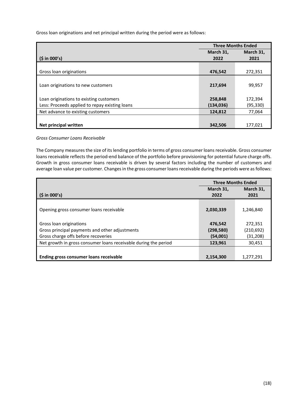Gross loan originations and net principal written during the period were as follows:

|                                                | <b>Three Months Ended</b> |           |  |
|------------------------------------------------|---------------------------|-----------|--|
|                                                | March 31,                 | March 31, |  |
| (5 in 000's)                                   | 2022                      | 2021      |  |
|                                                |                           |           |  |
| Gross loan originations                        | 476,542                   | 272,351   |  |
|                                                |                           |           |  |
| Loan originations to new customers             | 217,694                   | 99,957    |  |
|                                                |                           |           |  |
| Loan originations to existing customers        | 258,848                   | 172,394   |  |
| Less: Proceeds applied to repay existing loans | (134, 036)                | (95,330)  |  |
| Net advance to existing customers              | 124,812                   | 77,064    |  |
|                                                |                           |           |  |
| Net principal written                          | 342,506                   | 177,021   |  |

# *Gross Consumer Loans Receivable*

The Company measures the size of its lending portfolio in terms of gross consumer loans receivable. Gross consumer loans receivable reflects the period-end balance of the portfolio before provisioning for potential future charge offs. Growth in gross consumer loans receivable is driven by several factors including the number of customers and average loan value per customer. Changes in the gross consumer loans receivable during the periods were as follows:

|                                                                 | <b>Three Months Ended</b> |            |  |
|-----------------------------------------------------------------|---------------------------|------------|--|
|                                                                 | March 31,                 | March 31,  |  |
| (5 in 000's)                                                    | 2022                      | 2021       |  |
|                                                                 |                           |            |  |
| Opening gross consumer loans receivable                         | 2,030,339                 | 1,246,840  |  |
|                                                                 |                           |            |  |
| Gross loan originations                                         | 476.542                   | 272,351    |  |
| Gross principal payments and other adjustments                  | (298, 580)                | (210, 692) |  |
| Gross charge offs before recoveries                             | (54,001)                  | (31, 208)  |  |
| Net growth in gross consumer loans receivable during the period | 123.961                   | 30,451     |  |
|                                                                 |                           |            |  |
| Ending gross consumer loans receivable                          | 2,154,300                 | 1,277,291  |  |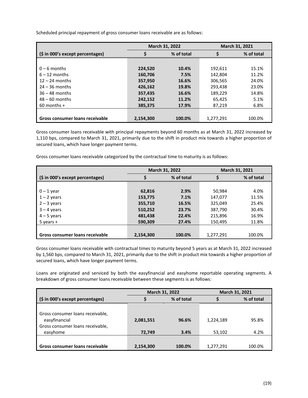|                                  |           | March 31, 2022 |           | March 31, 2021 |
|----------------------------------|-----------|----------------|-----------|----------------|
| (\$ in 000's except percentages) | \$        | % of total     |           | % of total     |
|                                  |           |                |           |                |
| $0 - 6$ months                   | 224,520   | 10.4%          | 192.611   | 15.1%          |
| $6 - 12$ months                  | 160,706   | 7.5%           | 142,804   | 11.2%          |
| $12 - 24$ months                 | 357,950   | 16.6%          | 306,565   | 24.0%          |
| $24 - 36$ months                 | 426,162   | 19.8%          | 293,438   | 23.0%          |
| $36 - 48$ months                 | 357,435   | 16.6%          | 189,229   | 14.8%          |
| $48 - 60$ months                 | 242,152   | 11.2%          | 65,425    | 5.1%           |
| $60$ months +                    | 385,375   | 17.9%          | 87,219    | 6.8%           |
|                                  |           |                |           |                |
| Gross consumer loans receivable  | 2,154,300 | 100.0%         | 1,277,291 | 100.0%         |

Scheduled principal repayment of gross consumer loans receivable are as follows:

Gross consumer loans receivable with principal repayments beyond 60 months as at March 31, 2022 increased by 1,110 bps, compared to March 31, 2021, primarily due to the shift in product mix towards a higher proportion of secured loans, which have longer payment terms.

Gross consumer loans receivable categorized by the contractual time to maturity is as follows:

|                                  |           | March 31, 2022 | <b>March 31, 2021</b> |            |
|----------------------------------|-----------|----------------|-----------------------|------------|
| (\$ in 000's except percentages) | \$        | % of total     |                       | % of total |
|                                  |           |                |                       |            |
| $0 - 1$ year                     | 62,816    | 2.9%           | 50,984                | 4.0%       |
| $1 - 2$ years                    | 153,775   | 7.1%           | 147,077               | 11.5%      |
| $2 - 3$ years                    | 355,710   | 16.5%          | 325,049               | 25.4%      |
| $3 - 4$ years                    | 510,252   | 23.7%          | 387,790               | 30.4%      |
| $4 - 5$ years                    | 481,438   | 22.4%          | 215,896               | 16.9%      |
| $5$ years $+$                    | 590,309   | 27.4%          | 150,495               | 11.8%      |
|                                  |           |                |                       |            |
| Gross consumer loans receivable  | 2,154,300 | 100.0%         | 1,277,291             | 100.0%     |

Gross consumer loans receivable with contractual times to maturity beyond 5 years as at March 31, 2022 increased by 1,560 bps, compared to March 31, 2021, primarily due to the shift in product mix towards a higher proportion of secured loans, which have longer payment terms.

Loans are originated and serviced by both the easyfinancial and easyhome reportable operating segments. A breakdown of gross consumer loans receivable between these segments is as follows:

|                                                                                                   | March 31, 2022      |               |                     | March 31, 2021 |
|---------------------------------------------------------------------------------------------------|---------------------|---------------|---------------------|----------------|
| (\$ in 000's except percentages)                                                                  |                     | % of total    |                     | % of total     |
| Gross consumer loans receivable,<br>easyfinancial<br>Gross consumer loans receivable,<br>easyhome | 2,081,551<br>72,749 | 96.6%<br>3.4% | 1,224,189<br>53,102 | 95.8%<br>4.2%  |
| Gross consumer loans receivable                                                                   | 2,154,300           | 100.0%        | 1,277,291           | 100.0%         |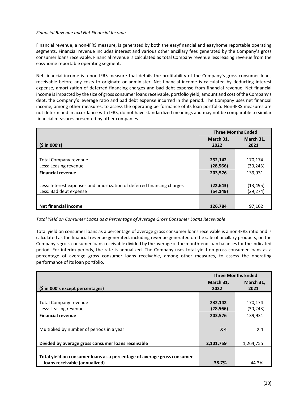## *Financial Revenue and Net Financial Income*

Financial revenue, a non-IFRS measure, is generated by both the easyfinancial and easyhome reportable operating segments. Financial revenue includes interest and various other ancillary fees generated by the Company's gross consumer loans receivable. Financial revenue is calculated as total Company revenue less leasing revenue from the easyhome reportable operating segment.

Net financial income is a non-IFRS measure that details the profitability of the Company's gross consumer loans receivable before any costs to originate or administer. Net financial income is calculated by deducting interest expense, amortization of deferred financing charges and bad debt expense from financial revenue. Net financial income is impacted by the size of gross consumer loans receivable, portfolio yield, amount and cost of the Company's debt, the Company's leverage ratio and bad debt expense incurred in the period. The Company uses net financial income, among other measures, to assess the operating performance of its loan portfolio. Non-IFRS measures are not determined in accordance with IFRS, do not have standardized meanings and may not be comparable to similar financial measures presented by other companies.

|                                                                        | <b>Three Months Ended</b> |           |  |
|------------------------------------------------------------------------|---------------------------|-----------|--|
|                                                                        | March 31,                 | March 31, |  |
| (5 in 000's)                                                           | 2022                      | 2021      |  |
|                                                                        |                           |           |  |
| Total Company revenue                                                  | 232,142                   | 170,174   |  |
| Less: Leasing revenue                                                  | (28, 566)                 | (30, 243) |  |
| <b>Financial revenue</b>                                               | 203,576                   | 139,931   |  |
|                                                                        |                           |           |  |
| Less: Interest expenses and amortization of deferred financing charges | (22, 643)                 | (13, 495) |  |
| Less: Bad debt expense                                                 | (54, 149)                 | (29, 274) |  |
|                                                                        |                           |           |  |
| Net financial income                                                   | 126,784                   | 97,162    |  |

*Total Yield on Consumer Loans as a Percentage of Average Gross Consumer Loans Receivable*

Total yield on consumer loans as a percentage of average gross consumer loans receivable is a non-IFRS ratio and is calculated as the financial revenue generated, including revenue generated on the sale of ancillary products, on the Company's gross consumer loans receivable divided by the average of the month-end loan balances for the indicated period. For interim periods, the rate is annualized. The Company uses total yield on gross consumer loans as a percentage of average gross consumer loans receivable, among other measures, to assess the operating performance of its loan portfolio.

|                                                                         | <b>Three Months Ended</b> |                |  |
|-------------------------------------------------------------------------|---------------------------|----------------|--|
|                                                                         | March 31,                 | March 31,      |  |
| (\$ in 000's except percentages)                                        | 2022                      | 2021           |  |
|                                                                         |                           |                |  |
| Total Company revenue                                                   | 232,142                   | 170,174        |  |
| Less: Leasing revenue                                                   | (28, 566)                 | (30, 243)      |  |
| <b>Financial revenue</b>                                                | 203,576                   | 139,931        |  |
|                                                                         |                           |                |  |
| Multiplied by number of periods in a year                               | X <sub>4</sub>            | X <sub>4</sub> |  |
|                                                                         |                           |                |  |
| Divided by average gross consumer loans receivable                      | 2,101,759                 | 1,264,755      |  |
|                                                                         |                           |                |  |
| Total yield on consumer loans as a percentage of average gross consumer |                           |                |  |
| loans receivable (annualized)                                           | 38.7%                     | 44.3%          |  |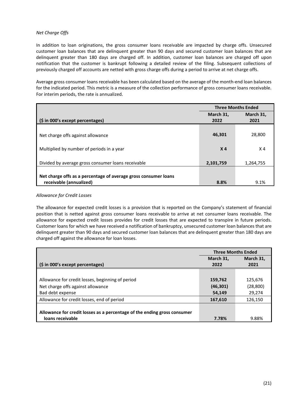# *Net Charge Offs*

In addition to loan originations, the gross consumer loans receivable are impacted by charge offs. Unsecured customer loan balances that are delinquent greater than 90 days and secured customer loan balances that are delinquent greater than 180 days are charged off. In addition, customer loan balances are charged off upon notification that the customer is bankrupt following a detailed review of the filing. Subsequent collections of previously charged off accounts are netted with gross charge offs during a period to arrive at net charge offs.

Average gross consumer loans receivable has been calculated based on the average of the month-end loan balances for the indicated period. This metric is a measure of the collection performance of gross consumer loans receivable. For interim periods, the rate is annualized.

|                                                                 | <b>Three Months Ended</b> |           |
|-----------------------------------------------------------------|---------------------------|-----------|
|                                                                 | March 31,                 | March 31, |
| (\$ in 000's except percentages)                                | 2022                      | 2021      |
|                                                                 |                           |           |
| Net charge offs against allowance                               | 46,301                    | 28,800    |
|                                                                 |                           |           |
| Multiplied by number of periods in a year                       | X <sub>4</sub>            | X 4       |
|                                                                 |                           |           |
| Divided by average gross consumer loans receivable              | 2,101,759                 | 1,264,755 |
|                                                                 |                           |           |
| Net charge offs as a percentage of average gross consumer loans |                           |           |
| receivable (annualized)                                         | 8.8%                      | 9.1%      |

# *Allowance for Credit Losses*

The allowance for expected credit losses is a provision that is reported on the Company's statement of financial position that is netted against gross consumer loans receivable to arrive at net consumer loans receivable. The allowance for expected credit losses provides for credit losses that are expected to transpire in future periods. Customer loans for which we have received a notification of bankruptcy, unsecured customer loan balances that are delinquent greater than 90 days and secured customer loan balances that are delinquent greater than 180 days are charged off against the allowance for loan losses.

|                                                                          | <b>Three Months Ended</b> |           |
|--------------------------------------------------------------------------|---------------------------|-----------|
|                                                                          | March 31,                 | March 31, |
| (\$ in 000's except percentages)                                         | 2022                      | 2021      |
|                                                                          |                           |           |
| Allowance for credit losses, beginning of period                         | 159,762                   | 125,676   |
| Net charge offs against allowance                                        | (46, 301)                 | (28, 800) |
| Bad debt expense                                                         | 54.149                    | 29,274    |
| Allowance for credit losses, end of period                               | 167,610                   | 126,150   |
|                                                                          |                           |           |
| Allowance for credit losses as a percentage of the ending gross consumer |                           |           |
| loans receivable                                                         | 7.78%                     | 9.88%     |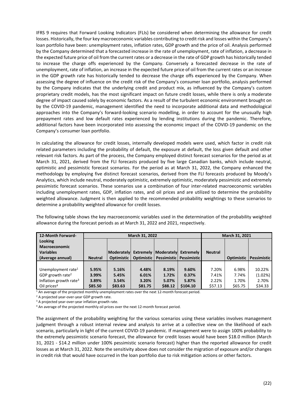IFRS 9 requires that Forward Looking Indicators (FLIs) be considered when determining the allowance for credit losses. Historically, the four key macroeconomic variables contributing to credit risk and losses within the Company's loan portfolio have been: unemployment rates, inflation rates, GDP growth and the price of oil. Analysis performed by the Company determined that a forecasted increase in the rate of unemployment, rate of inflation, a decrease in the expected future price of oil from the current rates or a decrease in the rate of GDP growth has historically tended to increase the charge offs experienced by the Company. Conversely a forecasted decrease in the rate of unemployment, rate of inflation, an increase in the expected future price of oil from the current rates or an increase in the GDP growth rate has historically tended to decrease the charge offs experienced by the Company. When assessing the degree of influence on the credit risk of the Company's consumer loan portfolio, analysis performed by the Company indicates that the underlying credit and product mix, as influenced by the Company's custom proprietary credit models, has the most significant impact on future credit losses, while there is only a moderate degree of impact caused solely by economic factors. As a result of the turbulent economic environment brought on by the COVID-19 pandemic, management identified the need to incorporate additional data and methodological approaches into the Company's forward-looking scenario modelling, in order to account for the unusually high prepayment rates and low default rates experienced by lending institutions during the pandemic. Therefore, additional factors have been incorporated into assessing the economic impact of the COVID-19 pandemic on the Company's consumer loan portfolio.

In calculating the allowance for credit losses, internally developed models were used, which factor in credit risk related parameters including the probability of default, the exposure at default, the loss given default and other relevant risk factors. As part of the process, the Company employed distinct forecast scenarios for the period as at March 31, 2021, derived from the FLI forecasts produced by five large Canadian banks, which include neutral, optimistic and pessimistic forecast scenarios. For the period as at March 31, 2022, the Company enhanced the methodology by employing five distinct forecast scenarios, derived from the FLI forecasts produced by Moody's Analytics, which include neutral, moderately optimistic, extremely optimistic, moderately pessimistic and extremely pessimistic forecast scenarios. These scenarios use a combination of four inter-related macroeconomic variables including unemployment rates, GDP, inflation rates, and oil prices and are utilized to determine the probability weighted allowance. Judgment is then applied to the recommended probability weightings to these scenarios to determine a probability weighted allowance for credit losses.

The following table shows the key macroeconomic variables used in the determination of the probability weighted allowance during the forecast periods as at March 31, 2022 and 2021, respectively.

| 12-Month Forward-                  | March 31, 2022 |                   |         |                                        |          | March 31, 2021 |                   |             |
|------------------------------------|----------------|-------------------|---------|----------------------------------------|----------|----------------|-------------------|-------------|
| Looking                            |                |                   |         |                                        |          |                |                   |             |
| <b>Macroeconomic</b>               |                |                   |         |                                        |          |                |                   |             |
| <b>Variables</b>                   |                | Moderatelyl       |         | Extremely   Moderately   Extremely     |          | <b>Neutral</b> |                   |             |
| (Average annual)                   | <b>Neutral</b> | <b>Optimistic</b> |         | Optimistic   Pessimistic   Pessimistic |          |                | <b>Optimistic</b> | Pessimistic |
|                                    |                |                   |         |                                        |          |                |                   |             |
| Unemployment rate <sup>1</sup>     | 5.95%          | 5.16%             | 4.48%   | 8.19%                                  | 9.60%    | 7.20%          | 6.98%             | 10.22%      |
| GDP growth rate <sup>2</sup>       | 3.99%          | 5.45%             | 6.01%   | 1.72%                                  | 0.37%    | 7.41%          | 7.74%             | (1.02%)     |
| Inflation growth rate <sup>3</sup> | 3.89%          | 3.54%             | 3.20%   | 5.07%                                  | 5.87%    | 2.22%          | 1.70%             | 2.70%       |
| Oil prices <sup>4</sup>            | \$85.50        | \$83.63           | \$81.75 | \$88.12                                | \$104.10 | \$57.13        | \$65.75           | \$34.33     |

<sup>1</sup> An average of the projected monthly unemployment rates over the next 12-month forecast period.<br>
<sup>2</sup> A projected year-over-year GDP growth rate.<br>
<sup>3</sup> A projected year-over-year inflation growth rate.<br>
<sup>4</sup> An average of

The assignment of the probability weighting for the various scenarios using these variables involves management judgment through a robust internal review and analysis to arrive at a collective view on the likelihood of each scenario, particularly in light of the current COVID-19 pandemic. If management were to assign 100% probability to the extremely pessimistic scenario forecast, the allowance for credit losses would have been \$18.0 million (March 31, 2021 - \$14.2 million under 100% pessimistic scenario forecast) higher than the reported allowance for credit losses as at March 31, 2022. Note the sensitivity above does not consider the migration of exposure and/or changes in credit risk that would have occurred in the loan portfolio due to risk mitigation actions or other factors.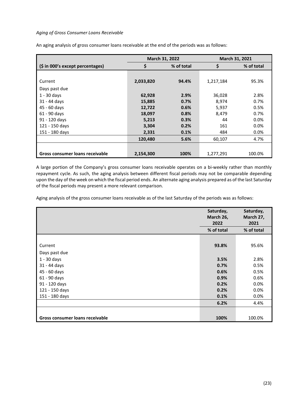# *Aging of Gross Consumer Loans Receivable*

An aging analysis of gross consumer loans receivable at the end of the periods was as follows:

|                                  |           | March 31, 2022 |           | March 31, 2021 |
|----------------------------------|-----------|----------------|-----------|----------------|
| (\$ in 000's except percentages) | \$        | % of total     | \$        | % of total     |
|                                  |           |                |           |                |
| Current                          | 2,033,820 | 94.4%          | 1,217,184 | 95.3%          |
| Days past due                    |           |                |           |                |
| $1 - 30$ days                    | 62,928    | 2.9%           | 36,028    | 2.8%           |
| 31 - 44 days                     | 15,885    | 0.7%           | 8.974     | 0.7%           |
| 45 - 60 days                     | 12,722    | 0.6%           | 5,937     | 0.5%           |
| 61 - 90 days                     | 18,097    | 0.8%           | 8,479     | 0.7%           |
| 91 - 120 days                    | 5,213     | 0.3%           | 44        | 0.0%           |
| 121 - 150 days                   | 3,304     | 0.2%           | 161       | $0.0\%$        |
| 151 - 180 days                   | 2,331     | 0.1%           | 484       | $0.0\%$        |
|                                  | 120,480   | 5.6%           | 60,107    | 4.7%           |
|                                  |           |                |           |                |
| Gross consumer loans receivable  | 2,154,300 | 100%           | 1,277,291 | 100.0%         |

A large portion of the Company's gross consumer loans receivable operates on a bi-weekly rather than monthly repayment cycle. As such, the aging analysis between different fiscal periods may not be comparable depending upon the day of the week on which the fiscal period ends. An alternate aging analysis prepared as of the last Saturday of the fiscal periods may present a more relevant comparison.

Aging analysis of the gross consumer loans receivable as of the last Saturday of the periods was as follows:

|                                 | Saturday,<br>March 26,<br>2022 | Saturday,<br>March 27,<br>2021 |
|---------------------------------|--------------------------------|--------------------------------|
|                                 | % of total                     | % of total                     |
|                                 |                                |                                |
| Current                         | 93.8%                          | 95.6%                          |
| Days past due                   |                                |                                |
| $1 - 30$ days                   | 3.5%                           | 2.8%                           |
| 31 - 44 days                    | 0.7%                           | 0.5%                           |
| 45 - 60 days                    | 0.6%                           | 0.5%                           |
| 61 - 90 days                    | 0.9%                           | 0.6%                           |
| 91 - 120 days                   | 0.2%                           | 0.0%                           |
| 121 - 150 days                  | 0.2%                           | 0.0%                           |
| 151 - 180 days                  | 0.1%                           | 0.0%                           |
|                                 | 6.2%                           | 4.4%                           |
|                                 |                                |                                |
| Gross consumer loans receivable | 100%                           | 100.0%                         |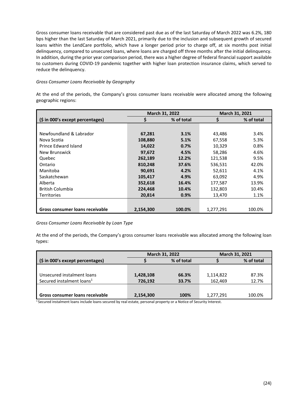Gross consumer loans receivable that are considered past due as of the last Saturday of March 2022 was 6.2%, 180 bps higher than the last Saturday of March 2021, primarily due to the inclusion and subsequent growth of secured loans within the LendCare portfolio, which have a longer period prior to charge off, at six months post initial delinquency, compared to unsecured loans, where loans are charged off three months after the initial delinquency. In addition, during the prior year comparison period, there was a higher degree of federal financial support available to customers during COVID-19 pandemic together with higher loan protection insurance claims, which served to reduce the delinquency.

# *Gross Consumer Loans Receivable by Geography*

At the end of the periods, the Company's gross consumer loans receivable were allocated among the following geographic regions:

|                                  | <b>March 31, 2022</b> |            |           | <b>March 31, 2021</b> |
|----------------------------------|-----------------------|------------|-----------|-----------------------|
| (\$ in 000's except percentages) |                       | % of total |           | % of total            |
|                                  |                       |            |           |                       |
| Newfoundland & Labrador          | 67,281                | 3.1%       | 43,486    | 3.4%                  |
| Nova Scotia                      | 108,880               | 5.1%       | 67,558    | 5.3%                  |
| Prince Edward Island             | 14,022                | 0.7%       | 10,329    | 0.8%                  |
| New Brunswick                    | 97,672                | 4.5%       | 58,286    | 4.6%                  |
| Quebec                           | 262,189               | 12.2%      | 121,538   | 9.5%                  |
| Ontario                          | 810,248               | 37.6%      | 536,531   | 42.0%                 |
| Manitoba                         | 90,691                | 4.2%       | 52,611    | 4.1%                  |
| Saskatchewan                     | 105,417               | 4.9%       | 63,092    | 4.9%                  |
| Alberta                          | 352,618               | 16.4%      | 177,587   | 13.9%                 |
| <b>British Columbia</b>          | 224,468               | 10.4%      | 132,803   | 10.4%                 |
| <b>Territories</b>               | 20,814                | 0.9%       | 13,470    | 1.1%                  |
|                                  |                       |            |           |                       |
| Gross consumer loans receivable  | 2.154.300             | 100.0%     | 1,277,291 | 100.0%                |

*Gross Consumer Loans Receivable by Loan Type*

At the end of the periods, the Company's gross consumer loans receivable was allocated among the following loan types:

|                                       | March 31, 2022 |       | March 31, 2021 |            |
|---------------------------------------|----------------|-------|----------------|------------|
| $(5$ in 000's except percentages)     | % of total     |       |                | % of total |
|                                       |                |       |                |            |
| Unsecured instalment loans            | 1,428,108      | 66.3% | 1,114,822      | 87.3%      |
| Secured instalment loans <sup>1</sup> | 726,192        | 33.7% | 162,469        | 12.7%      |
|                                       |                |       |                |            |
| Gross consumer loans receivable       | 2,154,300      | 100%  | 1,277,291      | 100.0%     |

<sup>1</sup> Secured instalment loans include loans secured by real estate, personal property or a Notice of Security Interest.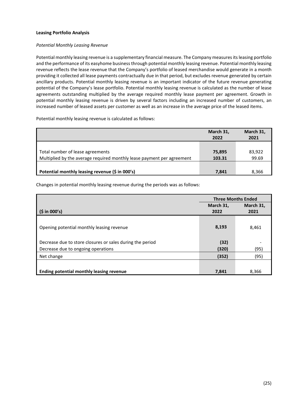# **Leasing Portfolio Analysis**

### *Potential Monthly Leasing Revenue*

Potential monthly leasing revenue is a supplementary financial measure. The Company measures its leasing portfolio and the performance of its easyhome business through potential monthly leasing revenue. Potential monthly leasing revenue reflects the lease revenue that the Company's portfolio of leased merchandise would generate in a month providing it collected all lease payments contractually due in that period, but excludes revenue generated by certain ancillary products. Potential monthly leasing revenue is an important indicator of the future revenue generating potential of the Company's lease portfolio. Potential monthly leasing revenue is calculated as the number of lease agreements outstanding multiplied by the average required monthly lease payment per agreement. Growth in potential monthly leasing revenue is driven by several factors including an increased number of customers, an increased number of leased assets per customer as well as an increase in the average price of the leased items.

Potential monthly leasing revenue is calculated as follows:

|                                                                        | March 31,<br>2022 | March 31,<br>2021 |
|------------------------------------------------------------------------|-------------------|-------------------|
|                                                                        |                   |                   |
| Total number of lease agreements                                       | 75,895            | 83,922            |
| Multiplied by the average required monthly lease payment per agreement | 103.31            | 99.69             |
|                                                                        |                   |                   |
| Potential monthly leasing revenue (\$ in 000's)                        | 7,841             | 8,366             |

Changes in potential monthly leasing revenue during the periods was as follows:

|                                                           | <b>Three Months Ended</b> |           |
|-----------------------------------------------------------|---------------------------|-----------|
|                                                           | March 31,                 | March 31, |
| (5 in 000's)                                              | 2022                      | 2021      |
| Opening potential monthly leasing revenue                 | 8,193                     | 8,461     |
| Decrease due to store closures or sales during the period | (32)                      |           |
| Decrease due to ongoing operations                        | (320)                     | (95)      |
| Net change                                                | (352)                     | (95)      |
| Ending potential monthly leasing revenue                  | 7,841                     | 8,366     |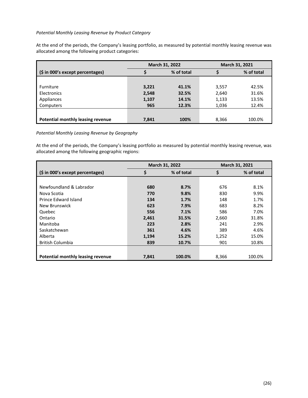## *Potential Monthly Leasing Revenue by Product Category*

At the end of the periods, the Company's leasing portfolio, as measured by potential monthly leasing revenue was allocated among the following product categories:

|                                   | March 31, 2022 |            | March 31, 2021 |            |
|-----------------------------------|----------------|------------|----------------|------------|
| (\$ in 000's except percentages)  |                | % of total |                | % of total |
|                                   |                |            |                |            |
| Furniture                         | 3,221          | 41.1%      | 3,557          | 42.5%      |
| Electronics                       | 2,548          | 32.5%      | 2,640          | 31.6%      |
| Appliances                        | 1,107          | 14.1%      | 1,133          | 13.5%      |
| Computers                         | 965            | 12.3%      | 1,036          | 12.4%      |
|                                   |                |            |                |            |
| Potential monthly leasing revenue | 7,841          | 100%       | 8,366          | 100.0%     |

*Potential Monthly Leasing Revenue by Geography*

At the end of the periods, the Company's leasing portfolio as measured by potential monthly leasing revenue, was allocated among the following geographic regions:

|                                   |       | March 31, 2022 |       | March 31, 2021 |
|-----------------------------------|-------|----------------|-------|----------------|
| (\$ in 000's except percentages)  | \$    | % of total     | \$    | % of total     |
|                                   |       |                |       |                |
| Newfoundland & Labrador           | 680   | 8.7%           | 676   | 8.1%           |
| Nova Scotia                       | 770   | 9.8%           | 830   | 9.9%           |
| Prince Edward Island              | 134   | 1.7%           | 148   | 1.7%           |
| New Brunswick                     | 623   | 7.9%           | 683   | 8.2%           |
| Quebec                            | 556   | 7.1%           | 586   | 7.0%           |
| Ontario                           | 2,461 | 31.5%          | 2,660 | 31.8%          |
| Manitoba                          | 223   | 2.8%           | 241   | 2.9%           |
| Saskatchewan                      | 361   | 4.6%           | 389   | 4.6%           |
| Alberta                           | 1,194 | 15.2%          | 1,252 | 15.0%          |
| <b>British Columbia</b>           | 839   | 10.7%          | 901   | 10.8%          |
|                                   |       |                |       |                |
| Potential monthly leasing revenue | 7,841 | 100.0%         | 8,366 | 100.0%         |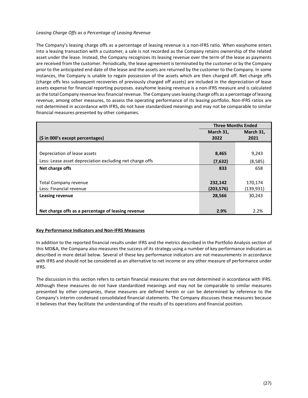# *Leasing Charge Offs as a Percentage of Leasing Revenue*

The Company's leasing charge offs as a percentage of leasing revenue is a non-IFRS ratio. When easyhome enters into a leasing transaction with a customer, a sale is not recorded as the Company retains ownership of the related asset under the lease. Instead, the Company recognizes its leasing revenue over the term of the lease as payments are received from the customer. Periodically, the lease agreement is terminated by the customer or by the Company prior to the anticipated end date of the lease and the assets are returned by the customer to the Company. In some instances, the Company is unable to regain possession of the assets which are then charged off. Net charge offs (charge offs less subsequent recoveries of previously charged off assets) are included in the depreciation of lease assets expense for financial reporting purposes. easyhome leasing revenue is a non-IFRS measure and is calculated as the total Company revenue less financial revenue. The Company uses leasing charge offs as a percentage of leasing revenue, among other measures, to assess the operating performance of its leasing portfolio. Non-IFRS ratios are not determined in accordance with IFRS, do not have standardized meanings and may not be comparable to similar financial measures presented by other companies.

|                                                          | <b>Three Months Ended</b> |            |
|----------------------------------------------------------|---------------------------|------------|
|                                                          | March 31,                 | March 31,  |
| (\$ in 000's except percentages)                         | 2022                      | 2021       |
|                                                          |                           |            |
| Depreciation of lease assets                             | 8,465                     | 9,243      |
| Less: Lease asset depreciation excluding net charge offs | (7,632)                   | (8,585)    |
| Net charge offs                                          | 833                       | 658        |
|                                                          |                           |            |
| Total Company revenue                                    | 232,142                   | 170,174    |
| Less: Financial revenue                                  | (203, 576)                | (139, 931) |
| <b>Leasing revenue</b>                                   | 28,566                    | 30,243     |
|                                                          |                           |            |
| Net charge offs as a percentage of leasing revenue       | 2.9%                      | 2.2%       |

# <span id="page-27-0"></span>**Key Performance Indicators and Non-IFRS Measures**

In addition to the reported financial results under IFRS and the metrics described in the Portfolio Analysis section of this MD&A, the Company also measures the success of its strategy using a number of key performance indicators as described in more detail below. Several of these key performance indicators are not measurements in accordance with IFRS and should not be considered as an alternative to net income or any other measure of performance under IFRS.

The discussion in this section refers to certain financial measures that are not determined in accordance with IFRS. Although these measures do not have standardized meanings and may not be comparable to similar measures presented by other companies, these measures are defined herein or can be determined by reference to the Company's interim condensed consolidated financial statements. The Company discusses these measures because it believes that they facilitate the understanding of the results of its operations and financial position.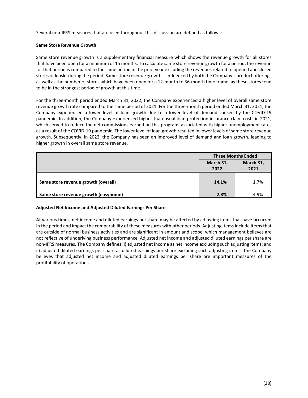Several non-IFRS measures that are used throughout this discussion are defined as follows:

## **Same Store Revenue Growth**

Same store revenue growth is a supplementary financial measure which shows the revenue growth for all stores that have been open for a minimum of 15 months. To calculate same store revenue growth for a period, the revenue for that period is compared to the same period in the prior year excluding the revenues related to opened and closed stores or kiosks during the period. Same store revenue growth is influenced by both the Company's product offerings as well as the number of stores which have been open for a 12-month to 36-month time frame, as these stores tend to be in the strongest period of growth at this time.

For the three-month period ended March 31, 2022, the Company experienced a higher level of overall same store revenue growth rate compared to the same period of 2021. For the three-month period ended March 31, 2021, the Company experienced a lower level of loan growth due to a lower level of demand caused by the COVID-19 pandemic. In addition, the Company experienced higher than usual loan protection insurance claim costs in 2021, which served to reduce the net commissions earned on this program, associated with higher unemployment rates as a result of the COVID-19 pandemic. The lower level of loan growth resulted in lower levels of same store revenue growth. Subsequently, in 2022, the Company has seen an improved level of demand and loan growth, leading to higher growth in overall same store revenue.

|                                      | <b>Three Months Ended</b> |                   |
|--------------------------------------|---------------------------|-------------------|
|                                      | March 31,<br>2022         | March 31,<br>2021 |
| Same store revenue growth (overall)  | 14.1%                     | 1.7%              |
| Same store revenue growth (easyhome) | 2.8%                      | 4.9%              |

# **Adjusted Net Income and Adjusted Diluted Earnings Per Share**

At various times, net income and diluted earnings per share may be affected by adjusting items that have occurred in the period and impact the comparability of these measures with other periods. Adjusting items include items that are outside of normal business activities and are significant in amount and scope, which management believes are not reflective of underlying business performance. Adjusted net income and adjusted diluted earnings per share are non-IFRS measures. The Company defines: i) adjusted net income as net income excluding such adjusting items; and ii) adjusted diluted earnings per share as diluted earnings per share excluding such adjusting items. The Company believes that adjusted net income and adjusted diluted earnings per share are important measures of the profitability of operations.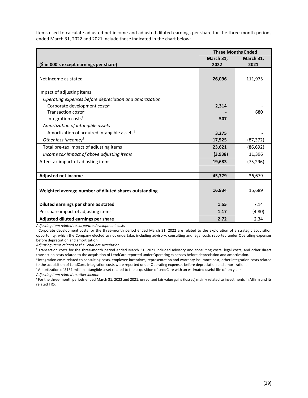Items used to calculate adjusted net income and adjusted diluted earnings per share for the three-month periods ended March 31, 2022 and 2021 include those indicated in the chart below:

|                                                         | <b>Three Months Ended</b> |           |
|---------------------------------------------------------|---------------------------|-----------|
|                                                         | March 31,                 | March 31, |
| (\$ in 000's except earnings per share)                 | 2022                      | 2021      |
|                                                         |                           |           |
| Net income as stated                                    | 26,096                    | 111,975   |
|                                                         |                           |           |
| Impact of adjusting items                               |                           |           |
| Operating expenses before depreciation and amortization |                           |           |
| Corporate development costs <sup>1</sup>                | 2,314                     |           |
| Transaction costs <sup>2</sup>                          |                           | 680       |
| Integration costs <sup>3</sup>                          | 507                       |           |
| Amortization of intangible assets                       |                           |           |
| Amortization of acquired intangible assets <sup>4</sup> | 3,275                     |           |
| Other loss (income) $5$                                 | 17,525                    | (87, 372) |
| Total pre-tax impact of adjusting items                 | 23,621                    | (86, 692) |
| Income tax impact of above adjusting items              | (3,938)                   | 11,396    |
| After-tax impact of adjusting items                     | 19,683                    | (75, 296) |
|                                                         |                           |           |
| <b>Adjusted net income</b>                              | 45,779                    | 36,679    |
|                                                         |                           |           |
| Weighted average number of diluted shares outstanding   | 16,834                    | 15,689    |
|                                                         |                           |           |
| Diluted earnings per share as stated                    | 1.55                      | 7.14      |
| Per share impact of adjusting items                     | 1.17                      | (4.80)    |
| Adjusted diluted earnings per share                     | 2.72                      | 2.34      |

*Adjusting item related to corporate development costs*

 $1$  Corporate development costs for the three-month period ended March 31, 2022 are related to the exploration of a strategic acquisition opportunity, which the Company elected to not undertake, including advisory, consulting and legal costs reported under Operating expenses before depreciation and amortization.

*Adjusting items related to the LendCare Acquisition*

<sup>2</sup> Transaction costs for the three-month period ended March 31, 2021 included advisory and consulting costs, legal costs, and other direct transaction costs related to the acquisition of LendCare reported under Operating expenses before depreciation and amortization.

<sup>3</sup> Integration costs related to consulting costs, employee incentives, representation and warranty insurance cost, other integration costs related to the acquisition of LendCare. Integration costs were reported under Operating expenses before depreciation and amortization.<br><sup>4</sup> Amortization of \$131 million intangible asset related to the acquisition of LendCare with a

*Adjusting item related to other income*

5 For the three-month periods ended March 31, 2022 and 2021, unrealized fair value gains (losses) mainly related to investments in Affirm and its related TRS.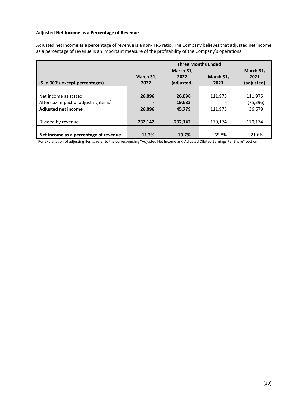## **Adjusted Net Income as a Percentage of Revenue**

Adjusted net income as a percentage of revenue is a non-IFRS ratio. The Company believes that adjusted net income as a percentage of revenue is an important measure of the profitability of the Company's operations.

|                                                  | <b>Three Months Ended</b> |            |           |            |
|--------------------------------------------------|---------------------------|------------|-----------|------------|
|                                                  |                           | March 31,  |           | March 31,  |
|                                                  | March 31,                 | 2022       | March 31, | 2021       |
| (\$ in 000's except percentages)                 | 2022                      | (adjusted) | 2021      | (adjusted) |
|                                                  |                           |            |           |            |
| Net income as stated                             | 26.096                    | 26,096     | 111,975   | 111,975    |
| After-tax impact of adjusting items <sup>1</sup> |                           | 19,683     |           | (75, 296)  |
| <b>Adjusted net income</b>                       | 26.096                    | 45.779     | 111,975   | 36,679     |
|                                                  |                           |            |           |            |
| Divided by revenue                               | 232,142                   | 232,142    | 170,174   | 170,174    |
|                                                  |                           |            |           |            |
| Net income as a percentage of revenue            | 11.2%                     | 19.7%      | 65.8%     | 21.6%      |

 $1$  For explanation of adjusting items, refer to the corresponding "Adjusted Net Income and Adjusted Diluted Earnings Per Share" section.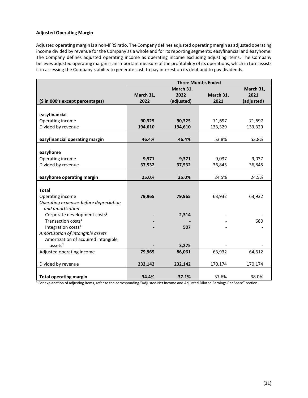# **Adjusted Operating Margin**

Adjusted operating margin is a non-IFRS ratio. The Company defines adjusted operating margin as adjusted operating income divided by revenue for the Company as a whole and for its reporting segments: easyfinancial and easyhome. The Company defines adjusted operating income as operating income excluding adjusting items. The Company believes adjusted operating margin is an important measure of the profitability of its operations, which in turn assists it in assessing the Company's ability to generate cash to pay interest on its debt and to pay dividends.

|                                          | <b>Three Months Ended</b> |            |           |            |
|------------------------------------------|---------------------------|------------|-----------|------------|
|                                          |                           | March 31,  |           | March 31,  |
|                                          | March 31,                 | 2022       | March 31, | 2021       |
| (\$ in 000's except percentages)         | 2022                      | (adjusted) | 2021      | (adjusted) |
|                                          |                           |            |           |            |
| easyfinancial                            |                           |            |           |            |
| Operating income                         | 90,325                    | 90,325     | 71,697    | 71,697     |
| Divided by revenue                       | 194,610                   | 194,610    | 133,329   | 133,329    |
|                                          |                           |            |           |            |
| easyfinancial operating margin           | 46.4%                     | 46.4%      | 53.8%     | 53.8%      |
|                                          |                           |            |           |            |
| easyhome                                 |                           |            |           |            |
| Operating income                         | 9,371                     | 9,371      | 9,037     | 9,037      |
| Divided by revenue                       | 37,532                    | 37,532     | 36,845    | 36,845     |
|                                          |                           |            |           |            |
| easyhome operating margin                | 25.0%                     | 25.0%      | 24.5%     | 24.5%      |
|                                          |                           |            |           |            |
| <b>Total</b>                             |                           |            |           |            |
| Operating income                         | 79,965                    | 79,965     | 63,932    | 63,932     |
| Operating expenses before depreciation   |                           |            |           |            |
| and amortization                         |                           |            |           |            |
| Corporate development costs <sup>1</sup> |                           | 2,314      |           |            |
| Transaction costs <sup>1</sup>           |                           |            |           | 680        |
| Integration costs <sup>1</sup>           |                           | 507        |           |            |
| Amortization of intangible assets        |                           |            |           |            |
| Amortization of acquired intangible      |                           |            |           |            |
| assets <sup>1</sup>                      |                           | 3,275      |           |            |
| Adjusted operating income                | 79,965                    | 86,061     | 63,932    | 64,612     |
|                                          |                           |            |           |            |
| Divided by revenue                       | 232,142                   | 232,142    | 170,174   | 170,174    |
|                                          |                           |            |           |            |
| <b>Total operating margin</b>            | 34.4%                     | 37.1%      | 37.6%     | 38.0%      |

 $1$  For explanation of adjusting items, refer to the corresponding "Adjusted Net Income and Adjusted Diluted Earnings Per Share" section.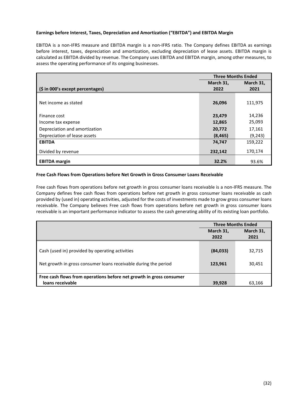# **Earnings before Interest, Taxes, Depreciation and Amortization ("EBITDA") and EBITDA Margin**

EBITDA is a non-IFRS measure and EBITDA margin is a non-IFRS ratio. The Company defines EBITDA as earnings before interest, taxes, depreciation and amortization, excluding depreciation of lease assets. EBITDA margin is calculated as EBITDA divided by revenue. The Company uses EBITDA and EBITDA margin, among other measures, to assess the operating performance of its ongoing businesses.

|                                  | <b>Three Months Ended</b> |           |
|----------------------------------|---------------------------|-----------|
|                                  | March 31,                 | March 31, |
| (\$ in 000's except percentages) | 2022                      | 2021      |
|                                  |                           |           |
| Net income as stated             | 26,096                    | 111,975   |
|                                  |                           |           |
| Finance cost                     | 23,479                    | 14,236    |
| Income tax expense               | 12,865                    | 25,093    |
| Depreciation and amortization    | 20,772                    | 17,161    |
| Depreciation of lease assets     | (8, 465)                  | (9,243)   |
| <b>EBITDA</b>                    | 74,747                    | 159,222   |
| Divided by revenue               | 232,142                   | 170,174   |
| <b>EBITDA</b> margin             | 32.2%                     | 93.6%     |

## **Free Cash Flows from Operations before Net Growth in Gross Consumer Loans Receivable**

Free cash flows from operations before net growth in gross consumer loans receivable is a non-IFRS measure. The Company defines free cash flows from operations before net growth in gross consumer loans receivable as cash provided by (used in) operating activities, adjusted for the costs of investments made to grow gross consumer loans receivable. The Company believes Free cash flows from operations before net growth in gross consumer loans receivable is an important performance indicator to assess the cash generating ability of its existing loan portfolio.

|                                                                     | <b>Three Months Ended</b> |           |
|---------------------------------------------------------------------|---------------------------|-----------|
|                                                                     | March 31,                 | March 31, |
|                                                                     | 2022                      | 2021      |
|                                                                     |                           |           |
| Cash (used in) provided by operating activities                     | (84, 033)                 | 32,715    |
|                                                                     |                           |           |
| Net growth in gross consumer loans receivable during the period     | 123,961                   | 30,451    |
|                                                                     |                           |           |
| Free cash flows from operations before net growth in gross consumer |                           |           |
| loans receivable                                                    | 39,928                    | 63,166    |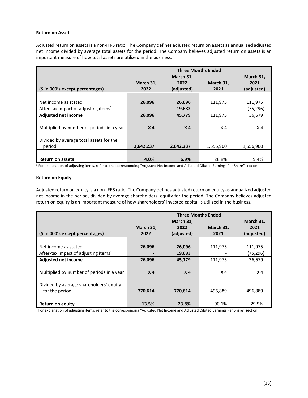## **Return on Assets**

Adjusted return on assets is a non-IFRS ratio. The Company defines adjusted return on assets as annualized adjusted net income divided by average total assets for the period. The Company believes adjusted return on assets is an important measure of how total assets are utilized in the business.

|                                                  | <b>Three Months Ended</b> |                |                |                |
|--------------------------------------------------|---------------------------|----------------|----------------|----------------|
|                                                  |                           | March 31,      |                | March 31,      |
|                                                  | March 31,                 | 2022           | March 31,      | 2021           |
| (\$ in 000's except percentages)                 | 2022                      | (adjusted)     | 2021           | (adjusted)     |
|                                                  |                           |                |                |                |
| Net income as stated                             | 26,096                    | 26,096         | 111,975        | 111,975        |
| After-tax impact of adjusting items <sup>1</sup> |                           | 19,683         |                | (75, 296)      |
| <b>Adjusted net income</b>                       | 26,096                    | 45,779         | 111,975        | 36,679         |
|                                                  |                           |                |                |                |
| Multiplied by number of periods in a year        | X <sub>4</sub>            | X <sub>4</sub> | X <sub>4</sub> | X <sub>4</sub> |
|                                                  |                           |                |                |                |
| Divided by average total assets for the          |                           |                |                |                |
| period                                           | 2,642,237                 | 2,642,237      | 1,556,900      | 1,556,900      |
|                                                  |                           |                |                |                |
| <b>Return on assets</b>                          | 4.0%                      | 6.9%           | 28.8%          | 9.4%           |

<sup>1</sup> For explanation of adjusting items, refer to the corresponding "Adjusted Net Income and Adjusted Diluted Earnings Per Share" section.

#### **Return on Equity**

Adjusted return on equity is a non-IFRS ratio. The Company defines adjusted return on equity as annualized adjusted net income in the period, divided by average shareholders' equity for the period. The Company believes adjusted return on equity is an important measure of how shareholders' invested capital is utilized in the business.

|                                                  | <b>Three Months Ended</b> |                |           |                |
|--------------------------------------------------|---------------------------|----------------|-----------|----------------|
|                                                  |                           | March 31,      |           | March 31,      |
|                                                  | March 31,                 | 2022           | March 31, | 2021           |
| (\$ in 000's except percentages)                 | 2022                      | (adjusted)     | 2021      | (adjusted)     |
|                                                  |                           |                |           |                |
| Net income as stated                             | 26,096                    | 26,096         | 111,975   | 111,975        |
| After-tax impact of adjusting items <sup>1</sup> |                           | 19,683         |           | (75,296)       |
| Adjusted net income                              | 26,096                    | 45,779         | 111,975   | 36,679         |
|                                                  |                           |                |           |                |
| Multiplied by number of periods in a year        | X <sub>4</sub>            | X <sub>4</sub> | X4        | X <sub>4</sub> |
|                                                  |                           |                |           |                |
| Divided by average shareholders' equity          |                           |                |           |                |
| for the period                                   | 770,614                   | 770,614        | 496,889   | 496,889        |
|                                                  |                           |                |           |                |
| <b>Return on equity</b>                          | 13.5%                     | 23.8%          | 90.1%     | 29.5%          |

 $1$  For explanation of adjusting items, refer to the corresponding "Adjusted Net Income and Adjusted Diluted Earnings Per Share" section.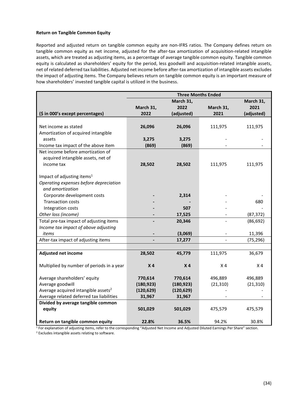## **Return on Tangible Common Equity**

Reported and adjusted return on tangible common equity are non-IFRS ratios. The Company defines return on tangible common equity as net income, adjusted for the after-tax amortization of acquisition-related intangible assets, which are treated as adjusting items, as a percentage of average tangible common equity. Tangible common equity is calculated as shareholders' equity for the period, less goodwill and acquisition-related intangible assets, net of related deferred tax liabilities. Adjusted net income before after-tax amortization of intangible assets excludes the impact of adjusting items. The Company believes return on tangible common equity is an important measure of how shareholders' invested tangible capital is utilized in the business.

|                                                 | <b>Three Months Ended</b> |                |                |                |
|-------------------------------------------------|---------------------------|----------------|----------------|----------------|
|                                                 |                           | March 31,      |                | March 31,      |
|                                                 | March 31,                 | 2022           | March 31,      | 2021           |
| (\$ in 000's except percentages)                | 2022                      | (adjusted)     | 2021           | (adjusted)     |
|                                                 |                           |                |                |                |
| Net income as stated                            | 26,096                    | 26,096         | 111,975        | 111,975        |
| Amortization of acquired intangible             |                           |                |                |                |
| assets                                          | 3,275                     | 3,275          |                |                |
| Income tax impact of the above item             | (869)                     | (869)          |                |                |
| Net income before amortization of               |                           |                |                |                |
| acquired intangible assets, net of              |                           |                |                |                |
| income tax                                      | 28,502                    | 28,502         | 111,975        | 111,975        |
|                                                 |                           |                |                |                |
| Impact of adjusting items <sup>1</sup>          |                           |                |                |                |
| Operating expenses before depreciation          |                           |                |                |                |
| and amortization                                |                           |                |                |                |
| Corporate development costs                     |                           | 2,314          |                |                |
| <b>Transaction costs</b>                        |                           |                |                | 680            |
| Integration costs                               |                           | 507            |                |                |
| Other loss (income)                             |                           | 17,525         |                | (87, 372)      |
| Total pre-tax impact of adjusting items         |                           | 20,346         |                | (86, 692)      |
| Income tax impact of above adjusting            |                           |                |                |                |
| items                                           |                           | (3,069)        |                | 11,396         |
| After-tax impact of adjusting items             |                           | 17,277         |                | (75, 296)      |
|                                                 |                           |                |                |                |
| <b>Adjusted net income</b>                      | 28,502                    | 45,779         | 111,975        | 36,679         |
|                                                 |                           |                |                |                |
| Multiplied by number of periods in a year       | X <sub>4</sub>            | X <sub>4</sub> | X <sub>4</sub> | X <sub>4</sub> |
| Average shareholders' equity                    | 770,614                   | 770,614        | 496,889        | 496,889        |
| Average goodwill                                | (180, 923)                | (180, 923)     | (21, 310)      | (21, 310)      |
| Average acquired intangible assets <sup>2</sup> | (120, 629)                | (120, 629)     |                |                |
| Average related deferred tax liabilities        | 31,967                    | 31,967         |                |                |
| Divided by average tangible common              |                           |                |                |                |
| equity                                          | 501,029                   | 501,029        | 475,579        | 475,579        |
|                                                 |                           |                |                |                |
| Return on tangible common equity                | 22.8%                     | 36.5%          | 94.2%          | 30.8%          |

<sup>1</sup> For explanation of adjusting items, refer to the corresponding "Adjusted Net Income and Adjusted Diluted Earnings Per Share" section. <sup>2</sup> Excludes intangible assets relating to software.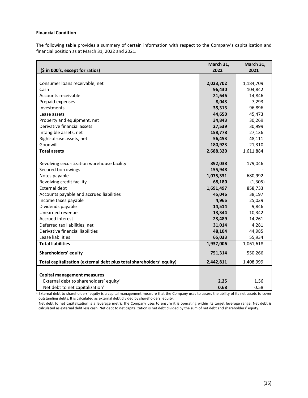## <span id="page-35-0"></span>**Financial Condition**

The following table provides a summary of certain information with respect to the Company's capitalization and financial position as at March 31, 2022 and 2021.

| (\$ in 000's, except for ratios)                                     | March 31,<br>2022 | March 31,<br>2021 |
|----------------------------------------------------------------------|-------------------|-------------------|
|                                                                      |                   |                   |
| Consumer loans receivable, net                                       | 2,023,702         | 1,184,709         |
| Cash                                                                 | 96,430            | 104,842           |
| Accounts receivable                                                  | 21,646            | 14,846            |
| Prepaid expenses                                                     | 8,043             | 7,293             |
| Investments                                                          | 35,313            | 96,896            |
| Lease assets                                                         | 44,650            | 45,473            |
| Property and equipment, net                                          | 34,843            | 30,269            |
| Derivative financial assets                                          | 27,539            | 30,999            |
| Intangible assets, net                                               | 158,778           | 27,136            |
| Right-of-use assets, net                                             | 56,453            | 48,111            |
| Goodwill                                                             | 180,923           | 21,310            |
| <b>Total assets</b>                                                  | 2,688,320         | 1,611,884         |
|                                                                      |                   |                   |
| Revolving securitization warehouse facility                          | 392,038           | 179,046           |
| Secured borrowings                                                   | 155,948           |                   |
| Notes payable                                                        | 1,075,331         | 680,992           |
| Revolving credit facility                                            | 68,180            | (1, 305)          |
| <b>External debt</b>                                                 | 1,691,497         | 858,733           |
| Accounts payable and accrued liabilities                             | 45,046            | 38,197            |
| Income taxes payable                                                 | 4,965             | 25,039            |
| Dividends payable                                                    | 14,514            | 9,846             |
| Unearned revenue                                                     | 13,344            | 10,342            |
| Accrued interest                                                     | 23,489            | 14,261            |
| Deferred tax liabilities, net                                        | 31,014            | 4,281             |
| Derivative financial liabilities                                     | 48,104            | 44,985            |
| Lease liabilities                                                    | 65,033            | 55,934            |
| <b>Total liabilities</b>                                             | 1,937,006         | 1,061,618         |
| Shareholders' equity                                                 | 751,314           | 550,266           |
| Total capitalization (external debt plus total shareholders' equity) | 2,442,811         | 1,408,999         |
|                                                                      |                   |                   |
| <b>Capital management measures</b>                                   |                   |                   |
| External debt to shareholders' equity <sup>1</sup>                   | 2.25              | 1.56              |
| Net debt to net capitalization <sup>2</sup>                          | 0.68              | 0.58              |

<sup>1</sup> External debt to shareholders' equity is a capital management measure that the Company uses to assess the ability of its net assets to cover outstanding debts. It is calculated as external debt divided by shareholders' equity.

<sup>2</sup> Net debt to net capitalization is a leverage metric the Company uses to ensure it is operating within its target leverage range. Net debt is calculated as external debt less cash. Net debt to net capitalization is net debt divided by the sum of net debt and shareholders' equity.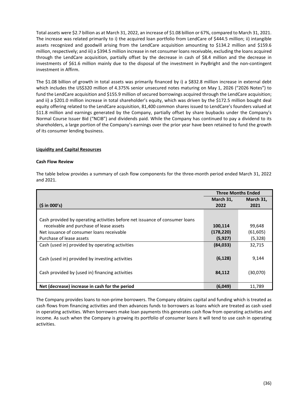Total assets were \$2.7 billion as at March 31, 2022, an increase of \$1.08 billion or 67%, compared to March 31, 2021. The increase was related primarily to i) the acquired loan portfolio from LendCare of \$444.5 million; ii) intangible assets recognized and goodwill arising from the LendCare acquisition amounting to \$134.2 million and \$159.6 million, respectively; and iii) a \$394.5 million increase in net consumer loans receivable, excluding the loans acquired through the LendCare acquisition, partially offset by the decrease in cash of \$8.4 million and the decrease in investments of \$61.6 million mainly due to the disposal of the investment in PayBright and the non-contingent investment in Affirm.

The \$1.08 billion of growth in total assets was primarily financed by i) a \$832.8 million increase in external debt which includes the US\$320 million of 4.375% senior unsecured notes maturing on May 1, 2026 ("2026 Notes") to fund the LendCare acquisition and \$155.9 million of secured borrowings acquired through the LendCare acquisition; and ii) a \$201.0 million increase in total shareholder's equity, which was driven by the \$172.5 million bought deal equity offering related to the LendCare acquisition, 81,400 common shares issued to LendCare's founders valued at \$11.8 million and earnings generated by the Company, partially offset by share buybacks under the Company's Normal Course Issuer Bid ("NCIB") and dividends paid. While the Company has continued to pay a dividend to its shareholders, a large portion of the Company's earnings over the prior year have been retained to fund the growth of its consumer lending business.

## <span id="page-36-0"></span>**Liquidity and Capital Resources**

#### **Cash Flow Review**

The table below provides a summary of cash flow components for the three-month period ended March 31, 2022 and 2021.

|                                                                             | <b>Three Months Ended</b> |           |
|-----------------------------------------------------------------------------|---------------------------|-----------|
|                                                                             | March 31,                 | March 31, |
| (5 in 000's)                                                                | 2022                      | 2021      |
|                                                                             |                           |           |
| Cash provided by operating activities before net issuance of consumer loans |                           |           |
| receivable and purchase of lease assets                                     | 100,114                   | 99,648    |
| Net issuance of consumer loans receivable                                   | (178, 220)                | (61, 605) |
| Purchase of lease assets                                                    | (5,927)                   | (5, 328)  |
| Cash (used in) provided by operating activities                             | (84, 033)                 | 32,715    |
|                                                                             |                           |           |
| Cash (used in) provided by investing activities                             | (6, 128)                  | 9,144     |
|                                                                             |                           |           |
| Cash provided by (used in) financing activities                             | 84,112                    | (30,070)  |
|                                                                             |                           |           |
| Net (decrease) increase in cash for the period                              | (6,049)                   | 11,789    |

The Company provides loans to non-prime borrowers. The Company obtains capital and funding which is treated as cash flows from financing activities and then advances funds to borrowers as loans which are treated as cash used in operating activities. When borrowers make loan payments this generates cash flow from operating activities and income. As such when the Company is growing its portfolio of consumer loans it will tend to use cash in operating activities.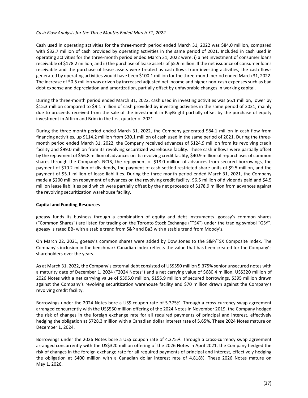## *Cash Flow Analysis for the Three Months Ended March 31, 2022*

Cash used in operating activities for the three-month period ended March 31, 2022 was \$84.0 million, compared with \$32.7 million of cash provided by operating activities in the same period of 2021. Included in cash used in operating activities for the three-month period ended March 31, 2022 were: i) a net investment of consumer loans receivable of \$178.2 million; and ii) the purchase of lease assets of \$5.9 million. If the net issuance of consumer loans receivable and the purchase of lease assets were treated as cash flows from investing activities, the cash flows generated by operating activities would have been \$100.1 million for the three-month period ended March 31, 2022. The increase of \$0.5 million was driven by increased adjusted net income and higher non-cash expenses such as bad debt expense and depreciation and amortization, partially offset by unfavorable changes in working capital.

During the three-month period ended March 31, 2022, cash used in investing activities was \$6.1 million, lower by \$15.3 million compared to \$9.1 million of cash provided by investing activities in the same period of 2021, mainly due to proceeds received from the sale of the investment in PayBright partially offset by the purchase of equity investment in Affirm and Brim in the first quarter of 2021.

During the three-month period ended March 31, 2022, the Company generated \$84.1 million in cash flow from financing activities, up \$114.2 million from \$30.1 million of cash used in the same period of 2021. During the threemonth period ended March 31, 2022, the Company received advances of \$124.9 million from its revolving credit facility and \$99.0 million from its revolving securitized warehouse facility. These cash inflows were partially offset by the repayment of \$56.8 million of advances on its revolving credit facility, \$40.9 million of repurchases of common shares through the Company's NCIB, the repayment of \$18.0 million of advances from secured borrowings, the payment of \$10.2 million of dividends, the payment of cash-settled restricted share units of \$9.5 million, and the payment of \$5.1 million of lease liabilities. During the three-month period ended March 31, 2021, the Company made a \$200 million repayment of advances on the revolving credit facility, \$6.5 million of dividends paid and \$4.5 million lease liabilities paid which were partially offset by the net proceeds of \$178.9 million from advances against the revolving securitization warehouse facility.

# **Capital and Funding Resources**

goeasy funds its business through a combination of equity and debt instruments. goeasy's common shares ("Common Shares") are listed for trading on the Toronto Stock Exchange ("TSX") under the trading symbol "GSY". goeasy is rated BB- with a stable trend from S&P and Ba3 with a stable trend from Moody's.

On March 22, 2021, goeasy's common shares were added by Dow Jones to the S&P/TSX Composite Index. The Company's inclusion in the benchmark Canadian index reflects the value that has been created for the Company's shareholders over the years.

As at March 31, 2022, the Company's external debt consisted of US\$550 million 5.375% senior unsecured notes with a maturity date of December 1, 2024 ("2024 Notes") and a net carrying value of \$680.4 million, US\$320 million of 2026 Notes with a net carrying value of \$395.0 million, \$155.9 million of secured borrowings, \$395 million drawn against the Company's revolving securitization warehouse facility and \$70 million drawn against the Company's revolving credit facility.

Borrowings under the 2024 Notes bore a US\$ coupon rate of 5.375%. Through a cross-currency swap agreement arranged concurrently with the US\$550 million offering of the 2024 Notes in November 2019, the Company hedged the risk of changes in the foreign exchange rate for all required payments of principal and interest, effectively hedging the obligation at \$728.3 million with a Canadian dollar interest rate of 5.65%. These 2024 Notes mature on December 1, 2024.

Borrowings under the 2026 Notes bore a US\$ coupon rate of 4.375%. Through a cross-currency swap agreement arranged concurrently with the US\$320 million offering of the 2026 Notes in April 2021, the Company hedged the risk of changes in the foreign exchange rate for all required payments of principal and interest, effectively hedging the obligation at \$400 million with a Canadian dollar interest rate of 4.818%. These 2026 Notes mature on May 1, 2026.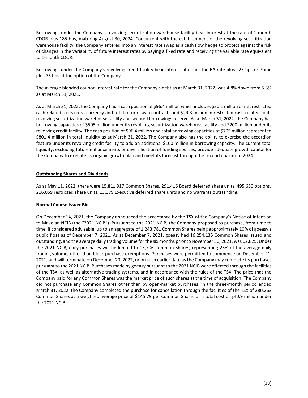Borrowings under the Company's revolving securitization warehouse facility bear interest at the rate of 1-month CDOR plus 185 bps, maturing August 30, 2024. Concurrent with the establishment of the revolving securitization warehouse facility, the Company entered into an interest rate swap as a cash flow hedge to protect against the risk of changes in the variability of future interest rates by paying a fixed rate and receiving the variable rate equivalent to 1-month CDOR.

Borrowings under the Company's revolving credit facility bear interest at either the BA rate plus 225 bps or Prime plus 75 bps at the option of the Company.

The average blended coupon interest rate for the Company's debt as at March 31, 2022, was 4.8% down from 5.3% as at March 31, 2021.

As at March 31, 2022, the Company had a cash position of \$96.4 million which includes \$30.1 million of net restricted cash related to its cross-currency and total return swap contracts and \$29.3 million in restricted cash related to its revolving securitization warehouse facility and secured borrowings reserve. As at March 31, 2022, the Company has borrowing capacities of \$505 million under its revolving securitization warehouse facility and \$200 million under its revolving credit facility. The cash position of \$96.4 million and total borrowing capacities of \$705 million represented \$801.4 million in total liquidity as at March 31, 2022. The Company also has the ability to exercise the accordion feature under its revolving credit facility to add an additional \$100 million in borrowing capacity. The current total liquidity, excluding future enhancements or diversification of funding sources, provide adequate growth capital for the Company to execute its organic growth plan and meet its forecast through the second quarter of 2024.

# <span id="page-38-0"></span>**Outstanding Shares and Dividends**

As at May 11, 2022, there were 15,811,917 Common Shares, 291,416 Board deferred share units, 495,650 options, 216,059 restricted share units, 13,379 Executive deferred share units and no warrants outstanding.

#### **Normal Course Issuer Bid**

On December 14, 2021, the Company announced the acceptance by the TSX of the Company's Notice of Intention to Make an NCIB (the "2021 NCIB"). Pursuant to the 2021 NCIB, the Company proposed to purchase, from time to time, if considered advisable, up to an aggregate of 1,243,781 Common Shares being approximately 10% of goeasy's public float as of December 7, 2021. As at December 7, 2021, goeasy had 16,254,135 Common Shares issued and outstanding, and the average daily trading volume for the six months prior to November 30, 2021, was 62,825. Under the 2021 NCIB, daily purchases will be limited to 15,706 Common Shares, representing 25% of the average daily trading volume, other than block purchase exemptions. Purchases were permitted to commence on December 21, 2021, and will terminate on December 20, 2022, or on such earlier date as the Company may complete its purchases pursuant to the 2021 NCIB. Purchases made by goeasy pursuant to the 2021 NCIB were effected through the facilities of the TSX, as well as alternative trading systems, and in accordance with the rules of the TSX. The price that the Company paid for any Common Shares was the market price of such shares at the time of acquisition. The Company did not purchase any Common Shares other than by open-market purchases. In the three-month period ended March 31, 2022, the Company completed the purchase for cancellation through the facilities of the TSX of 280,263 Common Shares at a weighted average price of \$145.79 per Common Share for a total cost of \$40.9 million under the 2021 NCIB.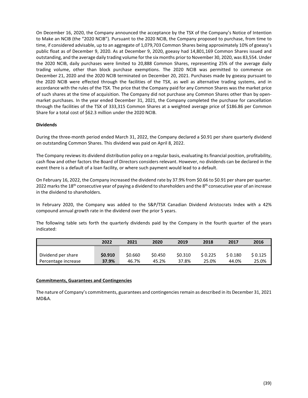On December 16, 2020, the Company announced the acceptance by the TSX of the Company's Notice of Intention to Make an NCIB (the "2020 NCIB"). Pursuant to the 2020 NCIB, the Company proposed to purchase, from time to time, if considered advisable, up to an aggregate of 1,079,703 Common Shares being approximately 10% of goeasy's public float as of December 9, 2020. As at December 9, 2020, goeasy had 14,801,169 Common Shares issued and outstanding, and the average daily trading volume for the six months prior to November 30, 2020, was 83,554. Under the 2020 NCIB, daily purchases were limited to 20,888 Common Shares, representing 25% of the average daily trading volume, other than block purchase exemptions. The 2020 NCIB was permitted to commence on December 21, 2020 and the 2020 NCIB terminated on December 20, 2021. Purchases made by goeasy pursuant to the 2020 NCIB were effected through the facilities of the TSX, as well as alternative trading systems, and in accordance with the rules of the TSX. The price that the Company paid for any Common Shares was the market price of such shares at the time of acquisition. The Company did not purchase any Common Shares other than by openmarket purchases. In the year ended December 31, 2021, the Company completed the purchase for cancellation through the facilities of the TSX of 333,315 Common Shares at a weighted average price of \$186.86 per Common Share for a total cost of \$62.3 million under the 2020 NCIB.

# **Dividends**

During the three-month period ended March 31, 2022, the Company declared a \$0.91 per share quarterly dividend on outstanding Common Shares. This dividend was paid on April 8, 2022.

The Company reviews its dividend distribution policy on a regular basis, evaluating its financial position, profitability, cash flow and other factors the Board of Directors considers relevant. However, no dividends can be declared in the event there is a default of a loan facility, or where such payment would lead to a default.

On February 16, 2022, the Company increased the dividend rate by 37.9% from \$0.66 to \$0.91 per share per quarter. 2022 marks the 18<sup>th</sup> consecutive year of paying a dividend to shareholders and the 8<sup>th</sup> consecutive year of an increase in the dividend to shareholders.

In February 2020, the Company was added to the S&P/TSX Canadian Dividend Aristocrats Index with a 42% compound annual growth rate in the dividend over the prior 5 years.

The following table sets forth the quarterly dividends paid by the Company in the fourth quarter of the years indicated:

|                     | 2022    | 2021    | 2020    | 2019    | 2018    | 2017    | 2016    |
|---------------------|---------|---------|---------|---------|---------|---------|---------|
|                     |         |         |         |         |         |         |         |
| Dividend per share  | \$0.910 | \$0.660 | \$0.450 | \$0.310 | \$0.225 | \$0.180 | \$0.125 |
| Percentage increase | 37.9%   | 46.7%   | 45.2%   | 37.8%   | 25.0%   | 44.0%   | 25.0%   |

#### <span id="page-39-0"></span>**Commitments, Guarantees and Contingencies**

<span id="page-39-1"></span>The nature of Company's commitments, guarantees and contingencies remain as described in its December 31, 2021 MD&A.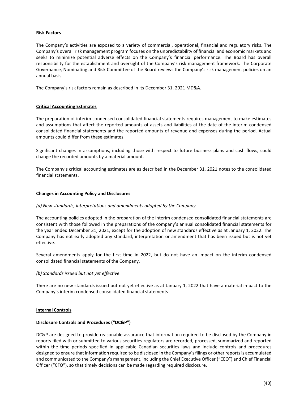## **Risk Factors**

The Company's activities are exposed to a variety of commercial, operational, financial and regulatory risks. The Company's overall risk management program focuses on the unpredictability of financial and economic markets and seeks to minimize potential adverse effects on the Company's financial performance. The Board has overall responsibility for the establishment and oversight of the Company's risk management framework. The Corporate Governance, Nominating and Risk Committee of the Board reviews the Company's risk management policies on an annual basis.

The Company's risk factors remain as described in its December 31, 2021 MD&A.

## <span id="page-40-0"></span>**Critical Accounting Estimates**

The preparation of interim condensed consolidated financial statements requires management to make estimates and assumptions that affect the reported amounts of assets and liabilities at the date of the interim condensed consolidated financial statements and the reported amounts of revenue and expenses during the period. Actual amounts could differ from these estimates.

Significant changes in assumptions, including those with respect to future business plans and cash flows, could change the recorded amounts by a material amount.

The Company's critical accounting estimates are as described in the December 31, 2021 notes to the consolidated financial statements.

#### <span id="page-40-1"></span>**Changes in Accounting Policy and Disclosures**

#### *(a) New standards, interpretations and amendments adopted by the Company*

The accounting policies adopted in the preparation of the interim condensed consolidated financial statements are consistent with those followed in the preparations of the company's annual consolidated financial statements for the year ended December 31, 2021, except for the adoption of new standards effective as at January 1, 2022. The Company has not early adopted any standard, interpretation or amendment that has been issued but is not yet effective.

Several amendments apply for the first time in 2022, but do not have an impact on the interim condensed consolidated financial statements of the Company.

#### *(b) Standards issued but not yet effective*

There are no new standards issued but not yet effective as at January 1, 2022 that have a material impact to the Company's interim condensed consolidated financial statements.

#### <span id="page-40-2"></span>**Internal Controls**

#### **Disclosure Controls and Procedures ("DC&P")**

DC&P are designed to provide reasonable assurance that information required to be disclosed by the Company in reports filed with or submitted to various securities regulators are recorded, processed, summarized and reported within the time periods specified in applicable Canadian securities laws and include controls and procedures designed to ensure that information required to be disclosed in the Company's filings or other reports is accumulated and communicated to the Company's management, including the Chief Executive Officer ("CEO") and Chief Financial Officer ("CFO"), so that timely decisions can be made regarding required disclosure.